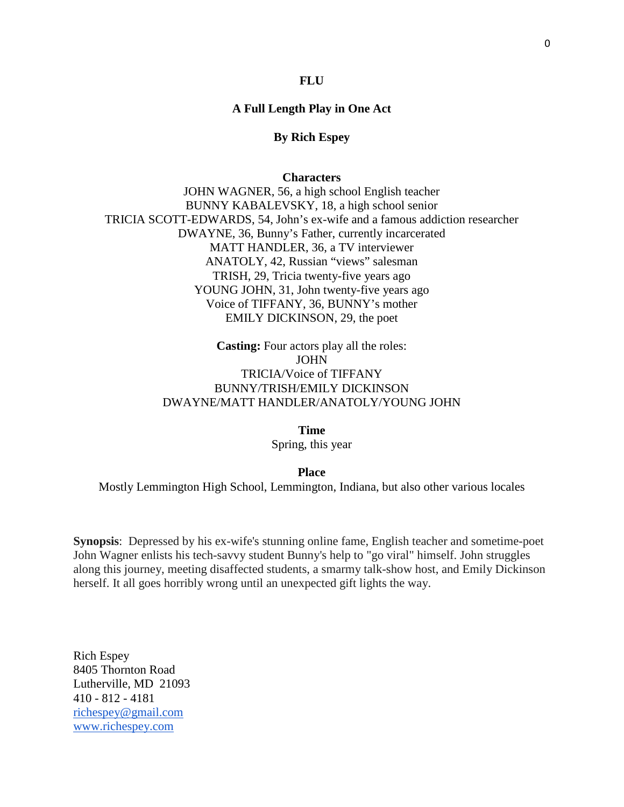#### **FLU**

# **A Full Length Play in One Act**

# **By Rich Espey**

#### **Characters**

JOHN WAGNER, 56, a high school English teacher BUNNY KABALEVSKY, 18, a high school senior TRICIA SCOTT-EDWARDS, 54, John's ex-wife and a famous addiction researcher DWAYNE, 36, Bunny's Father, currently incarcerated MATT HANDLER, 36, a TV interviewer ANATOLY, 42, Russian "views" salesman TRISH, 29, Tricia twenty-five years ago YOUNG JOHN, 31, John twenty-five years ago Voice of TIFFANY, 36, BUNNY's mother EMILY DICKINSON, 29, the poet

> **Casting:** Four actors play all the roles: JOHN TRICIA/Voice of TIFFANY BUNNY/TRISH/EMILY DICKINSON DWAYNE/MATT HANDLER/ANATOLY/YOUNG JOHN

> > **Time**

Spring, this year

**Place** Mostly Lemmington High School, Lemmington, Indiana, but also other various locales

**Synopsis**: Depressed by his ex-wife's stunning online fame, English teacher and sometime-poet John Wagner enlists his tech-savvy student Bunny's help to "go viral" himself. John struggles along this journey, meeting disaffected students, a smarmy talk-show host, and Emily Dickinson herself. It all goes horribly wrong until an unexpected gift lights the way.

Rich Espey 8405 Thornton Road Lutherville, MD 21093 410 - 812 - 4181 [richespey@gmail.com](mailto:richespey@gmail.com) [www.richespey.com](http://www.richespey.com/)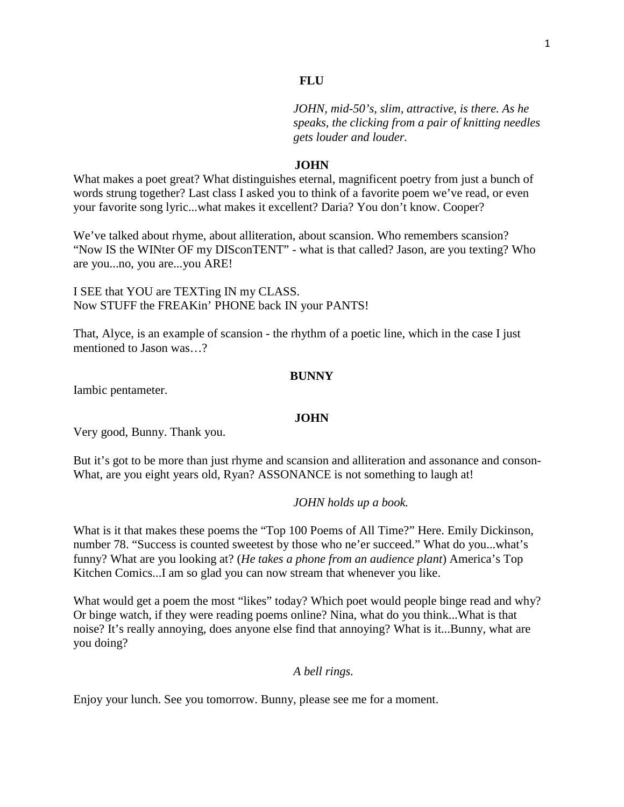*JOHN, mid-50's, slim, attractive, is there. As he speaks, the clicking from a pair of knitting needles gets louder and louder.*

#### **JOHN**

What makes a poet great? What distinguishes eternal, magnificent poetry from just a bunch of words strung together? Last class I asked you to think of a favorite poem we've read, or even your favorite song lyric...what makes it excellent? Daria? You don't know. Cooper?

We've talked about rhyme, about alliteration, about scansion. Who remembers scansion? "Now IS the WINter OF my DISconTENT" - what is that called? Jason, are you texting? Who are you...no, you are...you ARE!

I SEE that YOU are TEXTing IN my CLASS. Now STUFF the FREAKin' PHONE back IN your PANTS!

That, Alyce, is an example of scansion - the rhythm of a poetic line, which in the case I just mentioned to Jason was 2

#### **BUNNY**

Iambic pentameter.

#### **JOHN**

Very good, Bunny. Thank you.

But it's got to be more than just rhyme and scansion and alliteration and assonance and conson-What, are you eight years old, Ryan? ASSONANCE is not something to laugh at!

#### *JOHN holds up a book.*

What is it that makes these poems the "Top 100 Poems of All Time?" Here. Emily Dickinson, number 78. "Success is counted sweetest by those who ne'er succeed." What do you...what's funny? What are you looking at? (*He takes a phone from an audience plant*) America's Top Kitchen Comics...I am so glad you can now stream that whenever you like.

What would get a poem the most "likes" today? Which poet would people binge read and why? Or binge watch, if they were reading poems online? Nina, what do you think...What is that noise? It's really annoying, does anyone else find that annoying? What is it...Bunny, what are you doing?

# *A bell rings.*

Enjoy your lunch. See you tomorrow. Bunny, please see me for a moment.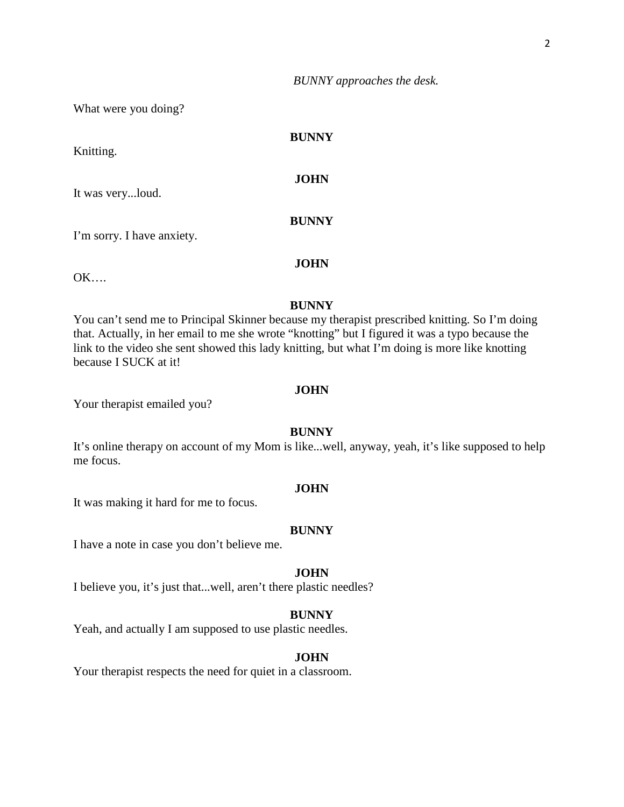*BUNNY approaches the desk.*

What were you doing?

| Knitting.                  | <b>BUNNY</b> |
|----------------------------|--------------|
| It was veryloud.           | <b>JOHN</b>  |
| I'm sorry. I have anxiety. | <b>BUNNY</b> |

OK….

# **BUNNY**

**JOHN**

You can't send me to Principal Skinner because my therapist prescribed knitting. So I'm doing that. Actually, in her email to me she wrote "knotting" but I figured it was a typo because the link to the video she sent showed this lady knitting, but what I'm doing is more like knotting because I SUCK at it!

#### **JOHN**

Your therapist emailed you?

#### **BUNNY**

It's online therapy on account of my Mom is like...well, anyway, yeah, it's like supposed to help me focus.

# **JOHN**

It was making it hard for me to focus.

#### **BUNNY**

I have a note in case you don't believe me.

#### **JOHN**

I believe you, it's just that...well, aren't there plastic needles?

#### **BUNNY**

Yeah, and actually I am supposed to use plastic needles.

# **JOHN**

Your therapist respects the need for quiet in a classroom.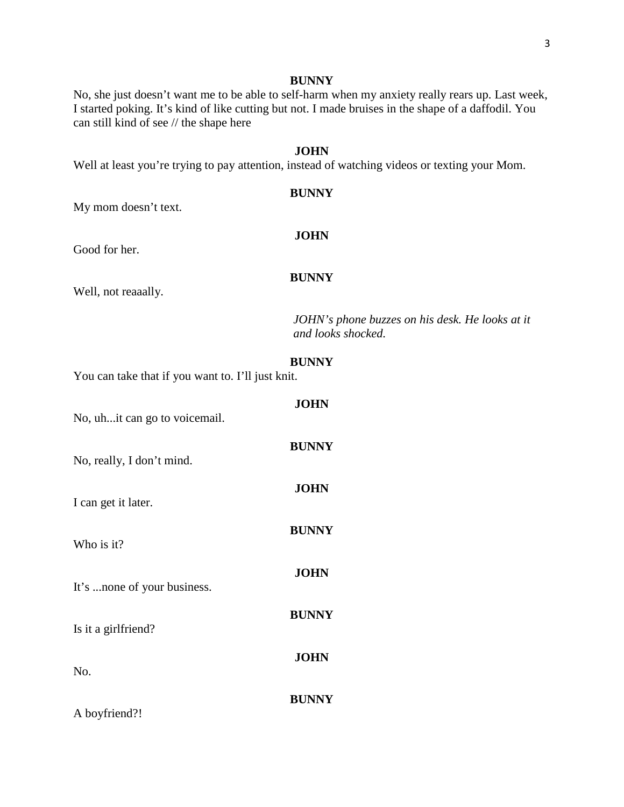No, she just doesn't want me to be able to self-harm when my anxiety really rears up. Last week, I started poking. It's kind of like cutting but not. I made bruises in the shape of a daffodil. You can still kind of see // the shape here

# **JOHN**

Well at least you're trying to pay attention, instead of watching videos or texting your Mom.

# **BUNNY**

**JOHN**

My mom doesn't text.

Good for her.

#### **BUNNY**

Well, not reaaally.

*JOHN's phone buzzes on his desk. He looks at it and looks shocked.*

# **BUNNY**

You can take that if you want to. I'll just knit.

| No, uhit can go to voicemail. | <b>JOHN</b>  |
|-------------------------------|--------------|
| No, really, I don't mind.     | <b>BUNNY</b> |
| I can get it later.           | <b>JOHN</b>  |
| Who is it?                    | <b>BUNNY</b> |
| It's none of your business.   | <b>JOHN</b>  |
| Is it a girlfriend?           | <b>BUNNY</b> |
| No.                           | <b>JOHN</b>  |
| A boyfriend?!                 | <b>BUNNY</b> |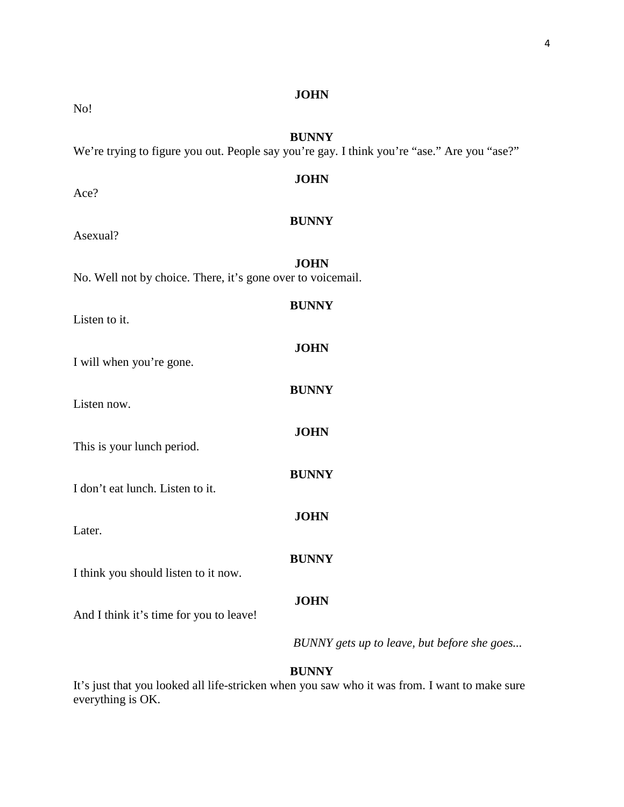No!

# **JOHN**

# **BUNNY**

**JOHN**

We're trying to figure you out. People say you're gay. I think you're "ase." Are you "ase?"

# Ace?

# **BUNNY**

Asexual?

**JOHN** No. Well not by choice. There, it's gone over to voicemail. **BUNNY** Listen to it. **JOHN** I will when you're gone. **BUNNY** Listen now.

This is your lunch period.

I don't eat lunch. Listen to it.

Later.

I think you should listen to it now.

And I think it's time for you to leave!

*BUNNY gets up to leave, but before she goes...*

# **BUNNY**

**JOHN**

**BUNNY**

**JOHN**

**BUNNY**

**JOHN**

It's just that you looked all life-stricken when you saw who it was from. I want to make sure everything is OK.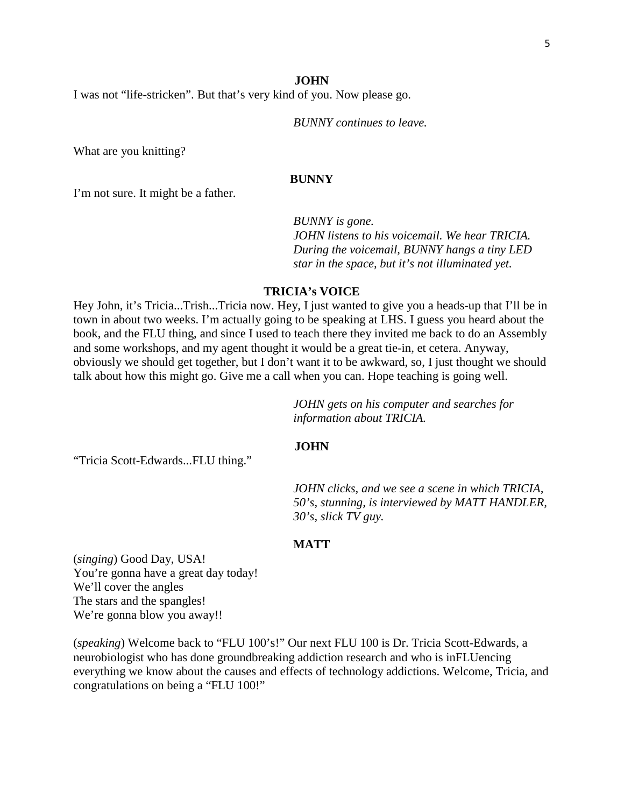I was not "life-stricken". But that's very kind of you. Now please go.

*BUNNY continues to leave.*

What are you knitting?

#### **BUNNY**

I'm not sure. It might be a father.

*BUNNY is gone. JOHN listens to his voicemail. We hear TRICIA. During the voicemail, BUNNY hangs a tiny LED star in the space, but it's not illuminated yet.*

# **TRICIA's VOICE**

Hey John, it's Tricia...Trish...Tricia now. Hey, I just wanted to give you a heads-up that I'll be in town in about two weeks. I'm actually going to be speaking at LHS. I guess you heard about the book, and the FLU thing, and since I used to teach there they invited me back to do an Assembly and some workshops, and my agent thought it would be a great tie-in, et cetera. Anyway, obviously we should get together, but I don't want it to be awkward, so, I just thought we should talk about how this might go. Give me a call when you can. Hope teaching is going well.

> *JOHN gets on his computer and searches for information about TRICIA.*

# **JOHN**

"Tricia Scott-Edwards...FLU thing."

*JOHN clicks, and we see a scene in which TRICIA, 50's, stunning, is interviewed by MATT HANDLER, 30's, slick TV guy.*

# **MATT**

(*singing*) Good Day, USA! You're gonna have a great day today! We'll cover the angles The stars and the spangles! We're gonna blow you away!!

(*speaking*) Welcome back to "FLU 100's!" Our next FLU 100 is Dr. Tricia Scott-Edwards, a neurobiologist who has done groundbreaking addiction research and who is inFLUencing everything we know about the causes and effects of technology addictions. Welcome, Tricia, and congratulations on being a "FLU 100!"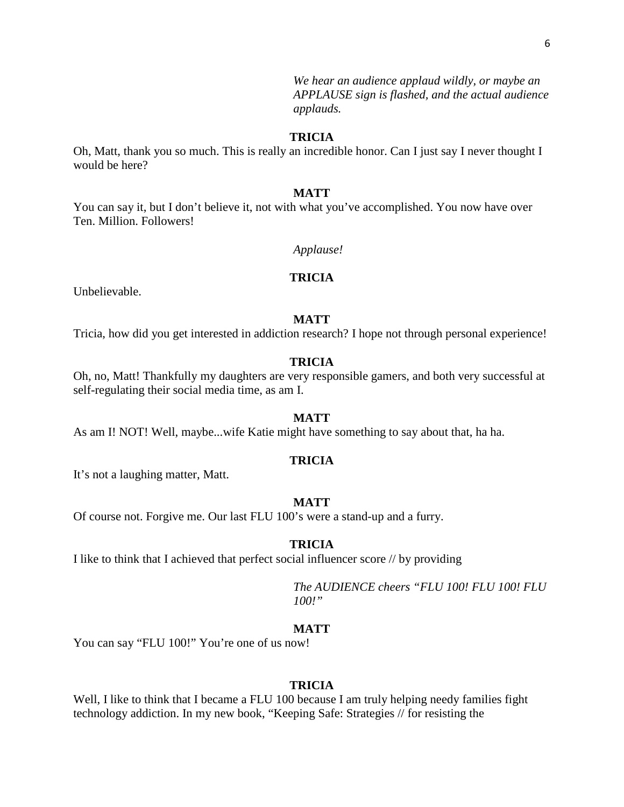*We hear an audience applaud wildly, or maybe an APPLAUSE sign is flashed, and the actual audience applauds.*

# **TRICIA**

Oh, Matt, thank you so much. This is really an incredible honor. Can I just say I never thought I would be here?

#### **MATT**

You can say it, but I don't believe it, not with what you've accomplished. You now have over Ten. Million. Followers!

*Applause!*

# **TRICIA**

Unbelievable.

## **MATT**

Tricia, how did you get interested in addiction research? I hope not through personal experience!

#### **TRICIA**

Oh, no, Matt! Thankfully my daughters are very responsible gamers, and both very successful at self-regulating their social media time, as am I.

#### **MATT**

As am I! NOT! Well, maybe...wife Katie might have something to say about that, ha ha.

# **TRICIA**

It's not a laughing matter, Matt.

#### **MATT**

Of course not. Forgive me. Our last FLU 100's were a stand-up and a furry.

#### **TRICIA**

I like to think that I achieved that perfect social influencer score // by providing

*The AUDIENCE cheers "FLU 100! FLU 100! FLU 100!"*

## **MATT**

You can say "FLU 100!" You're one of us now!

#### **TRICIA**

Well, I like to think that I became a FLU 100 because I am truly helping needy families fight technology addiction. In my new book, "Keeping Safe: Strategies // for resisting the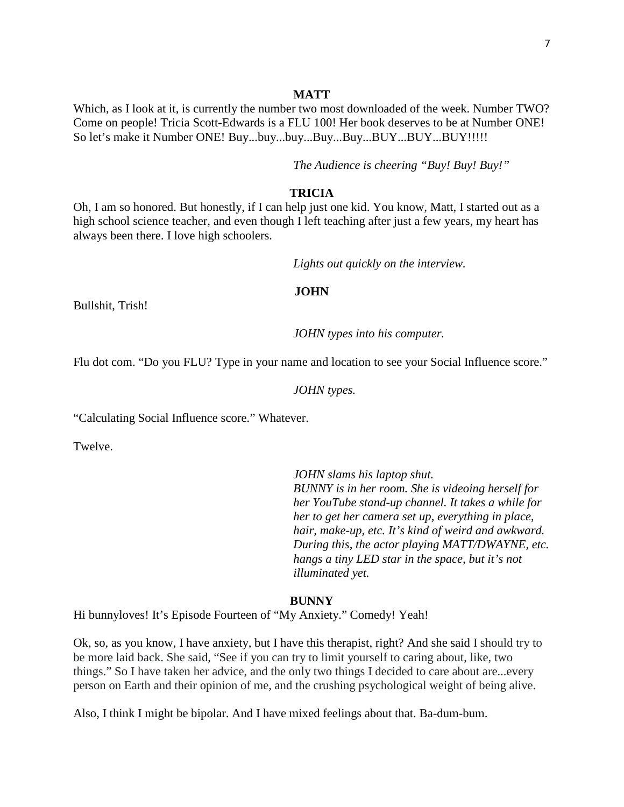#### **MATT**

Which, as I look at it, is currently the number two most downloaded of the week. Number TWO? Come on people! Tricia Scott-Edwards is a FLU 100! Her book deserves to be at Number ONE! So let's make it Number ONE! Buy...buy...buy...Buy...Buy...BUY...BUY...BUY!!!!!!

*The Audience is cheering "Buy! Buy! Buy!"*

# **TRICIA**

Oh, I am so honored. But honestly, if I can help just one kid. You know, Matt, I started out as a high school science teacher, and even though I left teaching after just a few years, my heart has always been there. I love high schoolers.

*Lights out quickly on the interview.*

#### **JOHN**

Bullshit, Trish!

*JOHN types into his computer.*

Flu dot com. "Do you FLU? Type in your name and location to see your Social Influence score."

#### *JOHN types.*

"Calculating Social Influence score." Whatever.

Twelve.

*JOHN slams his laptop shut. BUNNY is in her room. She is videoing herself for her YouTube stand-up channel. It takes a while for her to get her camera set up, everything in place, hair, make-up, etc. It's kind of weird and awkward. During this, the actor playing MATT/DWAYNE, etc. hangs a tiny LED star in the space, but it's not illuminated yet.*

#### **BUNNY**

Hi bunnyloves! It's Episode Fourteen of "My Anxiety." Comedy! Yeah!

Ok, so, as you know, I have anxiety, but I have this therapist, right? And she said I should try to be more laid back. She said, "See if you can try to limit yourself to caring about, like, two things." So I have taken her advice, and the only two things I decided to care about are...every person on Earth and their opinion of me, and the crushing psychological weight of being alive.

Also, I think I might be bipolar. And I have mixed feelings about that. Ba-dum-bum.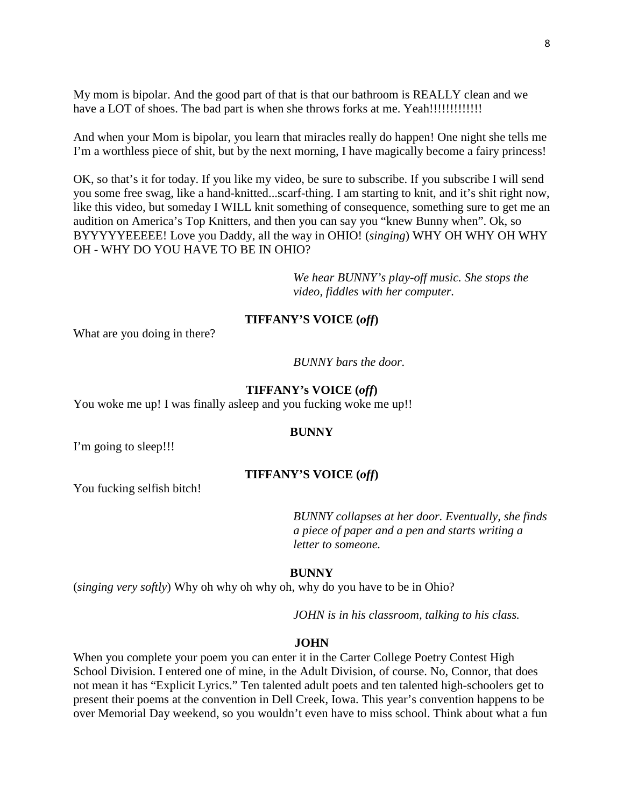My mom is bipolar. And the good part of that is that our bathroom is REALLY clean and we have a LOT of shoes. The bad part is when she throws forks at me. Yeah!!!!!!!!!!!!!

And when your Mom is bipolar, you learn that miracles really do happen! One night she tells me I'm a worthless piece of shit, but by the next morning, I have magically become a fairy princess!

OK, so that's it for today. If you like my video, be sure to subscribe. If you subscribe I will send you some free swag, like a hand-knitted...scarf-thing. I am starting to knit, and it's shit right now, like this video, but someday I WILL knit something of consequence, something sure to get me an audition on America's Top Knitters, and then you can say you "knew Bunny when". Ok, so BYYYYYEEEEE! Love you Daddy, all the way in OHIO! (*singing*) WHY OH WHY OH WHY OH - WHY DO YOU HAVE TO BE IN OHIO?

> *We hear BUNNY's play-off music. She stops the video, fiddles with her computer.*

# **TIFFANY'S VOICE (***off***)**

What are you doing in there?

*BUNNY bars the door.*

## **TIFFANY's VOICE (***off***)**

You woke me up! I was finally asleep and you fucking woke me up!!

#### **BUNNY**

I'm going to sleep!!!

# **TIFFANY'S VOICE (***off***)**

You fucking selfish bitch!

*BUNNY collapses at her door. Eventually, she finds a piece of paper and a pen and starts writing a letter to someone.*

#### **BUNNY**

(*singing very softly*) Why oh why oh why oh, why do you have to be in Ohio?

*JOHN is in his classroom, talking to his class.*

#### **JOHN**

When you complete your poem you can enter it in the Carter College Poetry Contest High School Division. I entered one of mine, in the Adult Division, of course. No, Connor, that does not mean it has "Explicit Lyrics." Ten talented adult poets and ten talented high-schoolers get to present their poems at the convention in Dell Creek, Iowa. This year's convention happens to be over Memorial Day weekend, so you wouldn't even have to miss school. Think about what a fun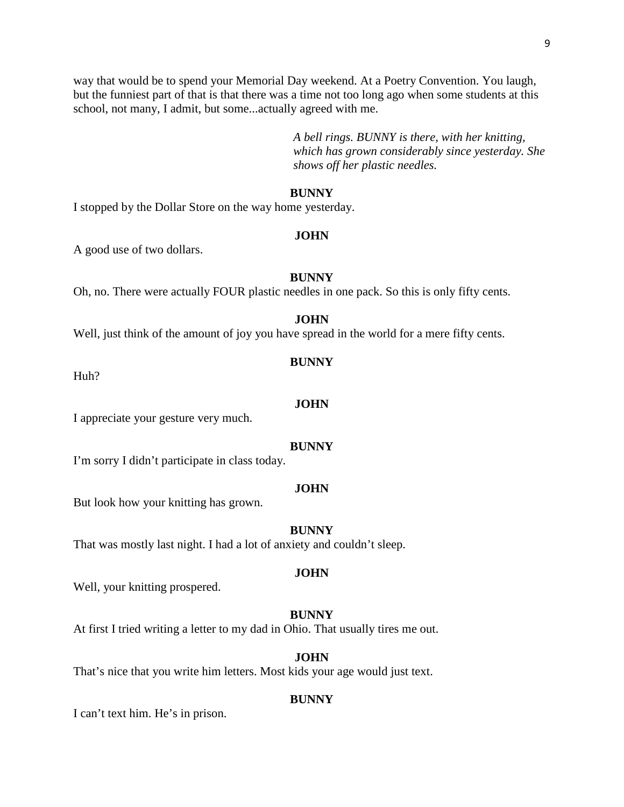way that would be to spend your Memorial Day weekend. At a Poetry Convention. You laugh, but the funniest part of that is that there was a time not too long ago when some students at this school, not many, I admit, but some...actually agreed with me.

> *A bell rings. BUNNY is there, with her knitting, which has grown considerably since yesterday. She shows off her plastic needles.*

# **BUNNY**

I stopped by the Dollar Store on the way home yesterday.

#### **JOHN**

A good use of two dollars.

#### **BUNNY**

Oh, no. There were actually FOUR plastic needles in one pack. So this is only fifty cents.

#### **JOHN**

Well, just think of the amount of joy you have spread in the world for a mere fifty cents.

Huh?

#### **JOHN**

I appreciate your gesture very much.

#### **BUNNY**

I'm sorry I didn't participate in class today.

#### **JOHN**

But look how your knitting has grown.

#### **BUNNY**

That was mostly last night. I had a lot of anxiety and couldn't sleep.

# **JOHN**

Well, your knitting prospered.

#### **BUNNY**

At first I tried writing a letter to my dad in Ohio. That usually tires me out.

# **JOHN**

That's nice that you write him letters. Most kids your age would just text.

#### **BUNNY**

I can't text him. He's in prison.

# **BUNNY**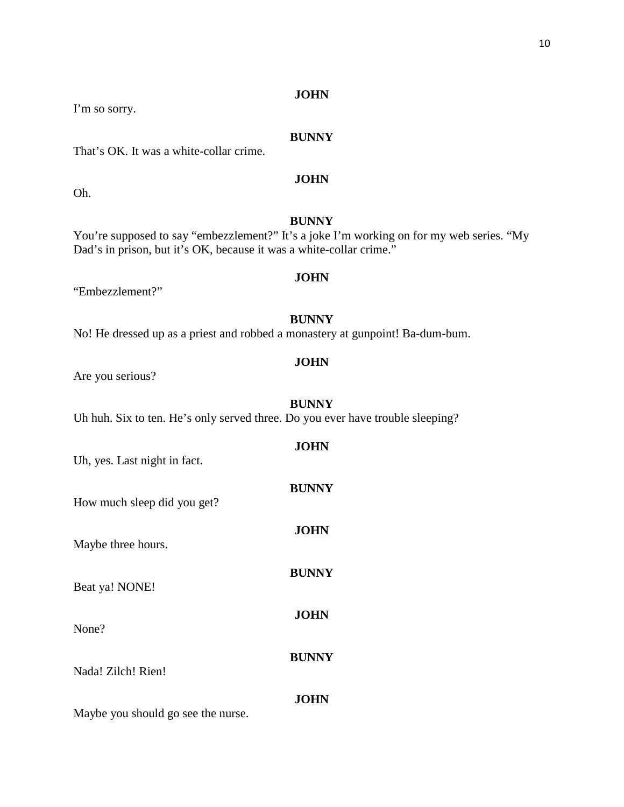I'm so sorry.

Oh.

# **BUNNY**

That's OK. It was a white-collar crime.

**JOHN**

# **BUNNY**

**JOHN**

You're supposed to say "embezzlement?" It's a joke I'm working on for my web series. "My Dad's in prison, but it's OK, because it was a white-collar crime."

"Embezzlement?"

# **BUNNY**

No! He dressed up as a priest and robbed a monastery at gunpoint! Ba-dum-bum.

# **JOHN**

Are you serious?

# **BUNNY**

Uh huh. Six to ten. He's only served three. Do you ever have trouble sleeping?

| Uh, yes. Last night in fact.       | <b>JOHN</b>  |
|------------------------------------|--------------|
| How much sleep did you get?        | <b>BUNNY</b> |
| Maybe three hours.                 | <b>JOHN</b>  |
| Beat ya! NONE!                     | <b>BUNNY</b> |
| None?                              | <b>JOHN</b>  |
| Nada! Zilch! Rien!                 | <b>BUNNY</b> |
| Maybe you should go see the nurse. | JOHN         |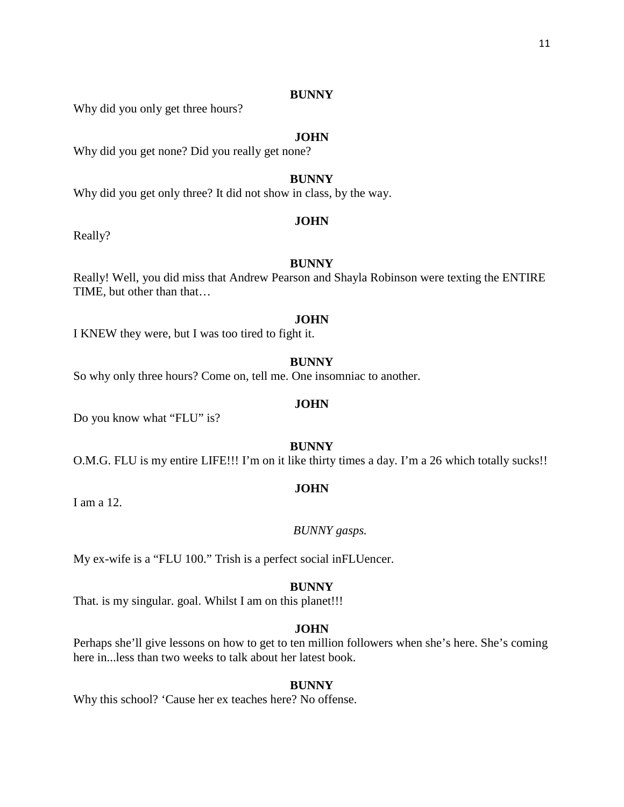Why did you only get three hours?

# **JOHN**

Why did you get none? Did you really get none?

# **BUNNY**

Why did you get only three? It did not show in class, by the way.

#### **JOHN**

Really?

# **BUNNY**

Really! Well, you did miss that Andrew Pearson and Shayla Robinson were texting the ENTIRE TIME, but other than that…

## **JOHN**

I KNEW they were, but I was too tired to fight it.

#### **BUNNY**

So why only three hours? Come on, tell me. One insomniac to another.

# **JOHN**

Do you know what "FLU" is?

# **BUNNY**

O.M.G. FLU is my entire LIFE!!! I'm on it like thirty times a day. I'm a 26 which totally sucks!!

# **JOHN**

I am a 12.

#### *BUNNY gasps.*

My ex-wife is a "FLU 100." Trish is a perfect social inFLUencer.

#### **BUNNY**

That. is my singular. goal. Whilst I am on this planet!!!

# **JOHN**

Perhaps she'll give lessons on how to get to ten million followers when she's here. She's coming here in...less than two weeks to talk about her latest book.

#### **BUNNY**

Why this school? 'Cause her ex teaches here? No offense.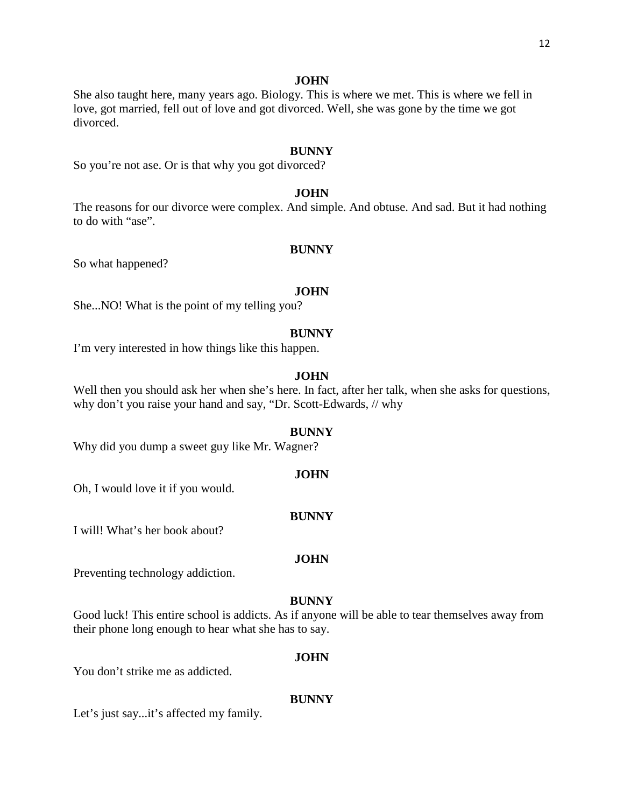She also taught here, many years ago. Biology. This is where we met. This is where we fell in love, got married, fell out of love and got divorced. Well, she was gone by the time we got divorced.

#### **BUNNY**

So you're not ase. Or is that why you got divorced?

### **JOHN**

The reasons for our divorce were complex. And simple. And obtuse. And sad. But it had nothing to do with "ase".

#### **BUNNY**

So what happened?

#### **JOHN**

She...NO! What is the point of my telling you?

#### **BUNNY**

I'm very interested in how things like this happen.

# **JOHN**

Well then you should ask her when she's here. In fact, after her talk, when she asks for questions, why don't you raise your hand and say, "Dr. Scott-Edwards, // why

#### **BUNNY**

Why did you dump a sweet guy like Mr. Wagner?

#### **JOHN**

Oh, I would love it if you would.

#### **BUNNY**

I will! What's her book about?

#### **JOHN**

Preventing technology addiction.

#### **BUNNY**

Good luck! This entire school is addicts. As if anyone will be able to tear themselves away from their phone long enough to hear what she has to say.

#### **JOHN**

You don't strike me as addicted.

#### **BUNNY**

Let's just say...it's affected my family.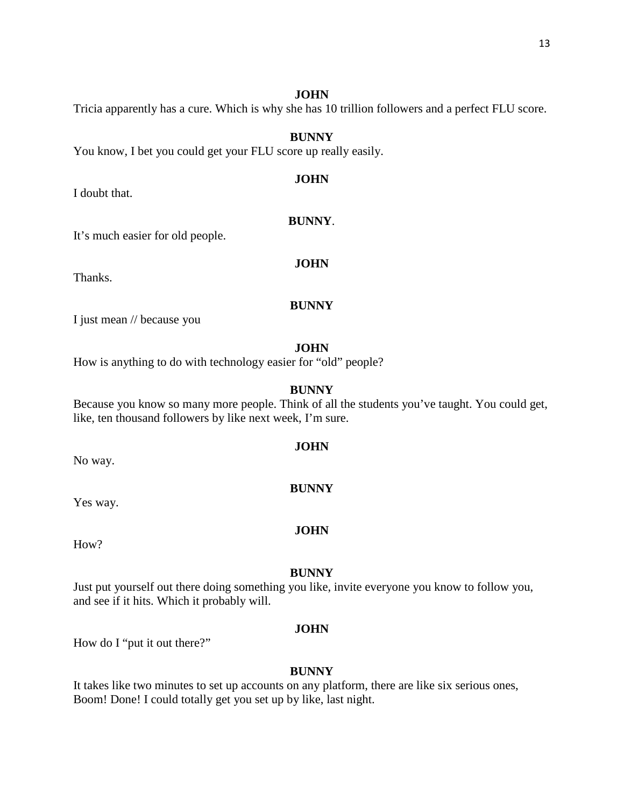Tricia apparently has a cure. Which is why she has 10 trillion followers and a perfect FLU score.

# **BUNNY**

You know, I bet you could get your FLU score up really easily.

# **JOHN**

**BUNNY**.

**JOHN**

I doubt that.

# It's much easier for old people.

Thanks.

#### **BUNNY**

I just mean // because you

#### **JOHN**

How is anything to do with technology easier for "old" people?

#### **BUNNY**

Because you know so many more people. Think of all the students you've taught. You could get, like, ten thousand followers by like next week, I'm sure.

#### **JOHN**

#### **BUNNY**

Yes way.

No way.

#### **JOHN**

How?

#### **BUNNY**

Just put yourself out there doing something you like, invite everyone you know to follow you, and see if it hits. Which it probably will.

# **JOHN**

How do I "put it out there?"

#### **BUNNY**

It takes like two minutes to set up accounts on any platform, there are like six serious ones, Boom! Done! I could totally get you set up by like, last night.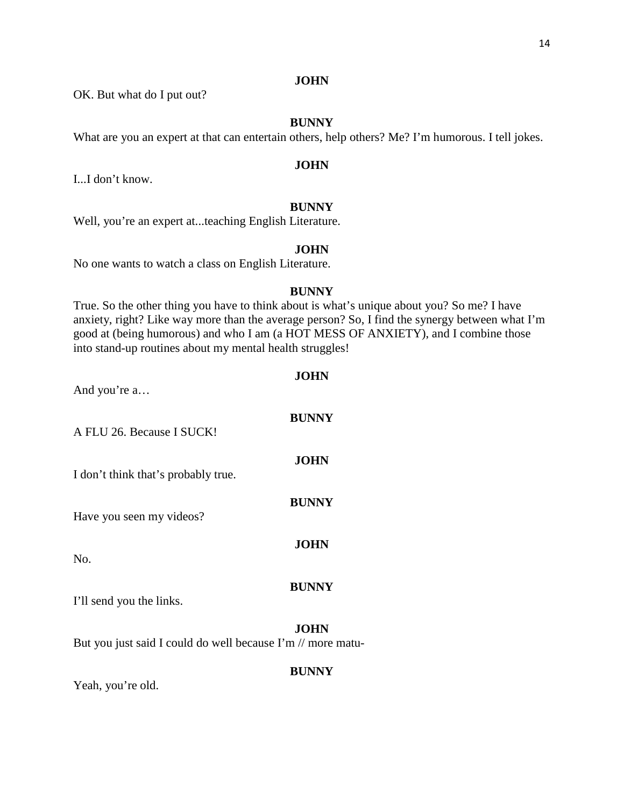OK. But what do I put out?

# **BUNNY**

What are you an expert at that can entertain others, help others? Me? I'm humorous. I tell jokes.

# **JOHN**

I...I don't know.

# **BUNNY**

Well, you're an expert at...teaching English Literature.

# **JOHN**

No one wants to watch a class on English Literature.

# **BUNNY**

True. So the other thing you have to think about is what's unique about you? So me? I have anxiety, right? Like way more than the average person? So, I find the synergy between what I'm good at (being humorous) and who I am (a HOT MESS OF ANXIETY), and I combine those into stand-up routines about my mental health struggles!

**JOHN**

| And you're a                                                |              |
|-------------------------------------------------------------|--------------|
| A FLU 26. Because I SUCK!                                   | <b>BUNNY</b> |
| I don't think that's probably true.                         | <b>JOHN</b>  |
| Have you seen my videos?                                    | <b>BUNNY</b> |
| No.                                                         | <b>JOHN</b>  |
| I'll send you the links.                                    | <b>BUNNY</b> |
| But you just said I could do well because I'm // more matu- | <b>JOHN</b>  |

# **BUNNY**

Yeah, you're old.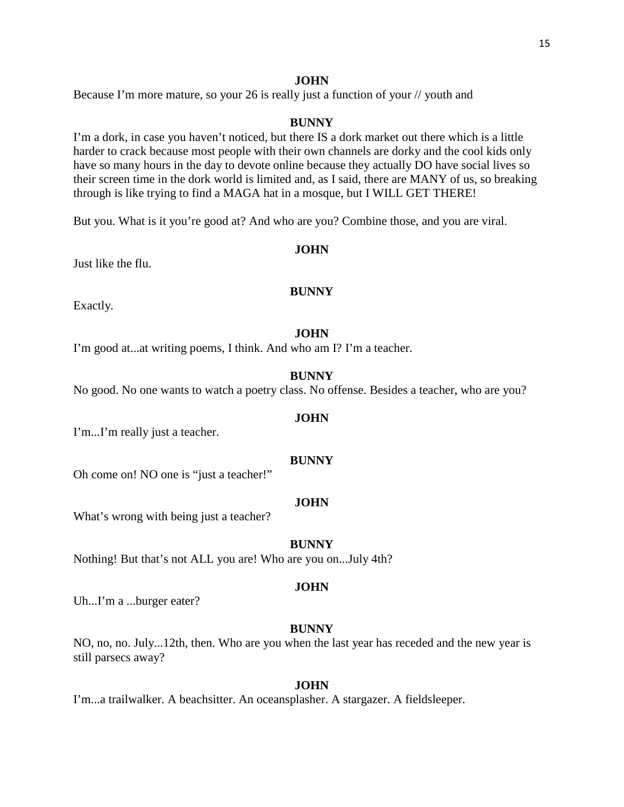Because I'm more mature, so your 26 is really just a function of your // youth and

# **BUNNY**

I'm a dork, in case you haven't noticed, but there IS a dork market out there which is a little harder to crack because most people with their own channels are dorky and the cool kids only have so many hours in the day to devote online because they actually DO have social lives so their screen time in the dork world is limited and, as I said, there are MANY of us, so breaking through is like trying to find a MAGA hat in a mosque, but I WILL GET THERE!

But you. What is it you're good at? And who are you? Combine those, and you are viral.

# **JOHN**

Just like the flu.

# **BUNNY**

Exactly.

# **JOHN**

I'm good at...at writing poems, I think. And who am I? I'm a teacher.

#### **BUNNY**

No good. No one wants to watch a poetry class. No offense. Besides a teacher, who are you?

# **JOHN**

I'm...I'm really just a teacher.

# **BUNNY**

Oh come on! NO one is "just a teacher!"

# **JOHN**

What's wrong with being just a teacher?

#### **BUNNY**

Nothing! But that's not ALL you are! Who are you on...July 4th?

# **JOHN**

Uh...I'm a ...burger eater?

# **BUNNY**

NO, no, no. July...12th, then. Who are you when the last year has receded and the new year is still parsecs away?

# **JOHN**

I'm...a trailwalker. A beachsitter. An oceansplasher. A stargazer. A fieldsleeper.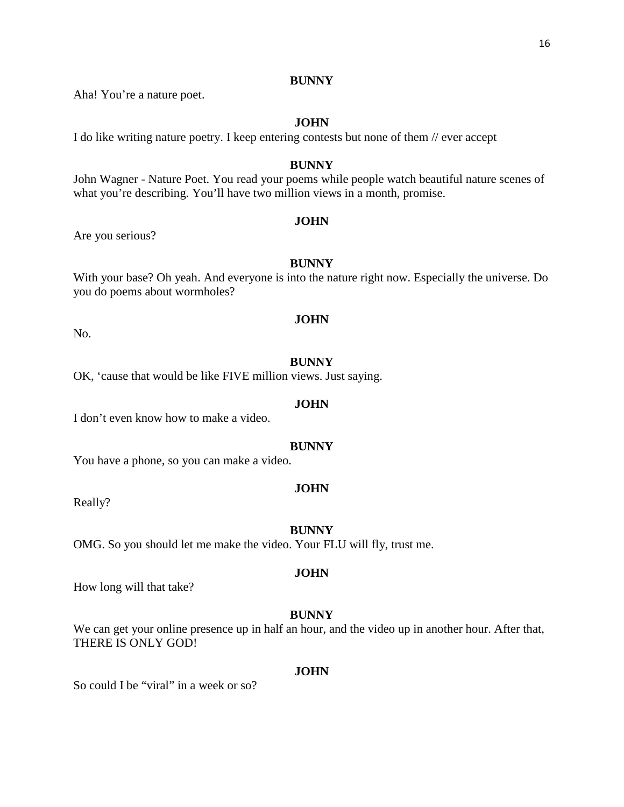Aha! You're a nature poet.

#### **JOHN**

I do like writing nature poetry. I keep entering contests but none of them // ever accept

#### **BUNNY**

John Wagner - Nature Poet. You read your poems while people watch beautiful nature scenes of what you're describing. You'll have two million views in a month, promise.

#### **JOHN**

Are you serious?

# **BUNNY**

With your base? Oh yeah. And everyone is into the nature right now. Especially the universe. Do you do poems about wormholes?

**JOHN**

No.

#### **BUNNY**

OK, 'cause that would be like FIVE million views. Just saying.

# **JOHN**

I don't even know how to make a video.

#### **BUNNY**

You have a phone, so you can make a video.

#### **JOHN**

Really?

#### **BUNNY**

OMG. So you should let me make the video. Your FLU will fly, trust me.

# **JOHN**

How long will that take?

#### **BUNNY**

We can get your online presence up in half an hour, and the video up in another hour. After that, THERE IS ONLY GOD!

#### **JOHN**

So could I be "viral" in a week or so?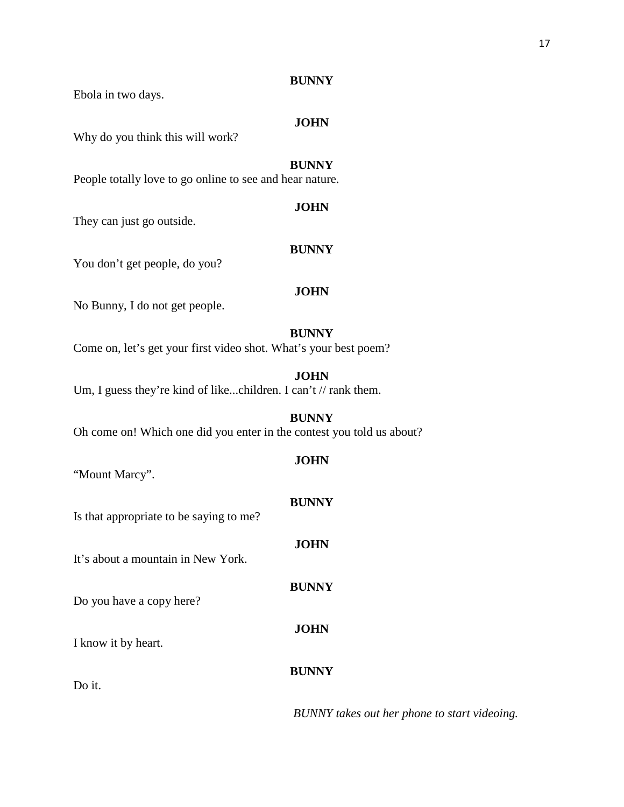Ebola in two days.

# **JOHN**

Why do you think this will work?

# **BUNNY**

People totally love to go online to see and hear nature.

#### **JOHN**

They can just go outside.

### **BUNNY**

You don't get people, do you?

# **JOHN**

No Bunny, I do not get people.

# **BUNNY**

Come on, let's get your first video shot. What's your best poem?

#### **JOHN**

Um, I guess they're kind of like...children. I can't // rank them.

**BUNNY** Oh come on! Which one did you enter in the contest you told us about?

# **JOHN**

**BUNNY**

**JOHN**

**BUNNY**

**JOHN**

"Mount Marcy".

Is that appropriate to be saying to me?

It's about a mountain in New York.

Do you have a copy here?

I know it by heart.

# **BUNNY**

Do it.

*BUNNY takes out her phone to start videoing.*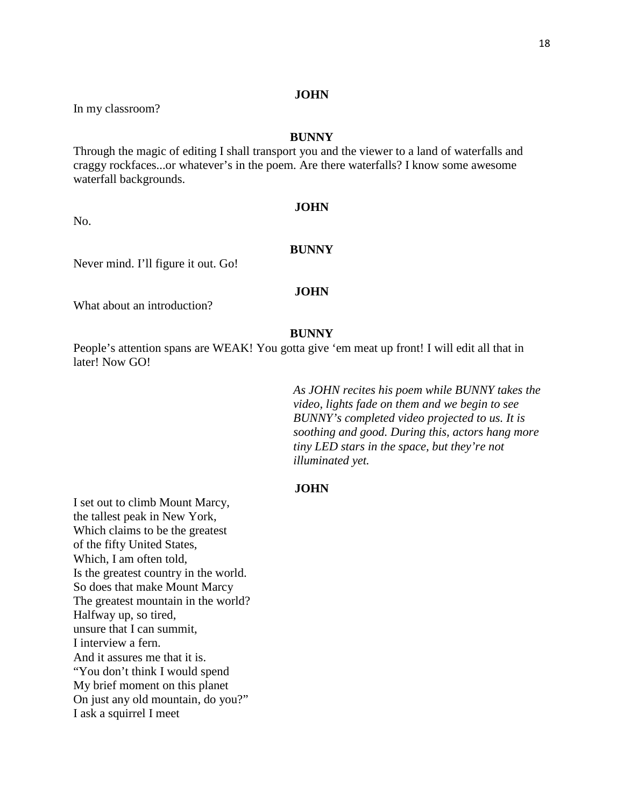In my classroom?

#### **BUNNY**

Through the magic of editing I shall transport you and the viewer to a land of waterfalls and craggy rockfaces...or whatever's in the poem. Are there waterfalls? I know some awesome waterfall backgrounds.

No.

# **JOHN**

# **BUNNY**

Never mind. I'll figure it out. Go!

#### **JOHN**

What about an introduction?

#### **BUNNY**

People's attention spans are WEAK! You gotta give 'em meat up front! I will edit all that in later! Now GO!

> *As JOHN recites his poem while BUNNY takes the video, lights fade on them and we begin to see BUNNY's completed video projected to us. It is soothing and good. During this, actors hang more tiny LED stars in the space, but they're not illuminated yet.*

# **JOHN**

I set out to climb Mount Marcy, the tallest peak in New York, Which claims to be the greatest of the fifty United States, Which, I am often told, Is the greatest country in the world. So does that make Mount Marcy The greatest mountain in the world? Halfway up, so tired, unsure that I can summit, I interview a fern. And it assures me that it is. "You don't think I would spend My brief moment on this planet On just any old mountain, do you?" I ask a squirrel I meet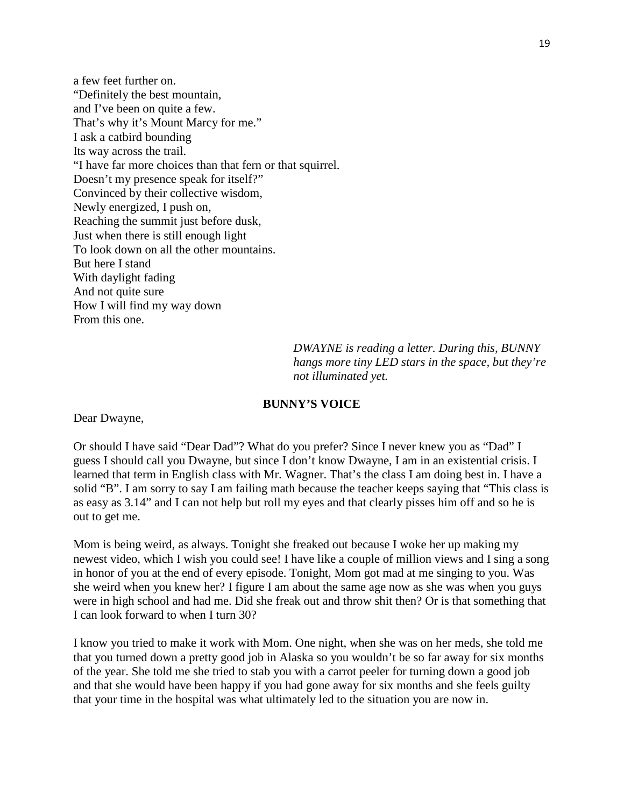a few feet further on. "Definitely the best mountain, and I've been on quite a few. That's why it's Mount Marcy for me." I ask a catbird bounding Its way across the trail. "I have far more choices than that fern or that squirrel. Doesn't my presence speak for itself?" Convinced by their collective wisdom, Newly energized, I push on, Reaching the summit just before dusk, Just when there is still enough light To look down on all the other mountains. But here I stand With daylight fading And not quite sure How I will find my way down From this one.

> *DWAYNE is reading a letter. During this, BUNNY hangs more tiny LED stars in the space, but they're not illuminated yet.*

#### **BUNNY'S VOICE**

Dear Dwayne,

Or should I have said "Dear Dad"? What do you prefer? Since I never knew you as "Dad" I guess I should call you Dwayne, but since I don't know Dwayne, I am in an existential crisis. I learned that term in English class with Mr. Wagner. That's the class I am doing best in. I have a solid "B". I am sorry to say I am failing math because the teacher keeps saying that "This class is as easy as 3.14" and I can not help but roll my eyes and that clearly pisses him off and so he is out to get me.

Mom is being weird, as always. Tonight she freaked out because I woke her up making my newest video, which I wish you could see! I have like a couple of million views and I sing a song in honor of you at the end of every episode. Tonight, Mom got mad at me singing to you. Was she weird when you knew her? I figure I am about the same age now as she was when you guys were in high school and had me. Did she freak out and throw shit then? Or is that something that I can look forward to when I turn 30?

I know you tried to make it work with Mom. One night, when she was on her meds, she told me that you turned down a pretty good job in Alaska so you wouldn't be so far away for six months of the year. She told me she tried to stab you with a carrot peeler for turning down a good job and that she would have been happy if you had gone away for six months and she feels guilty that your time in the hospital was what ultimately led to the situation you are now in.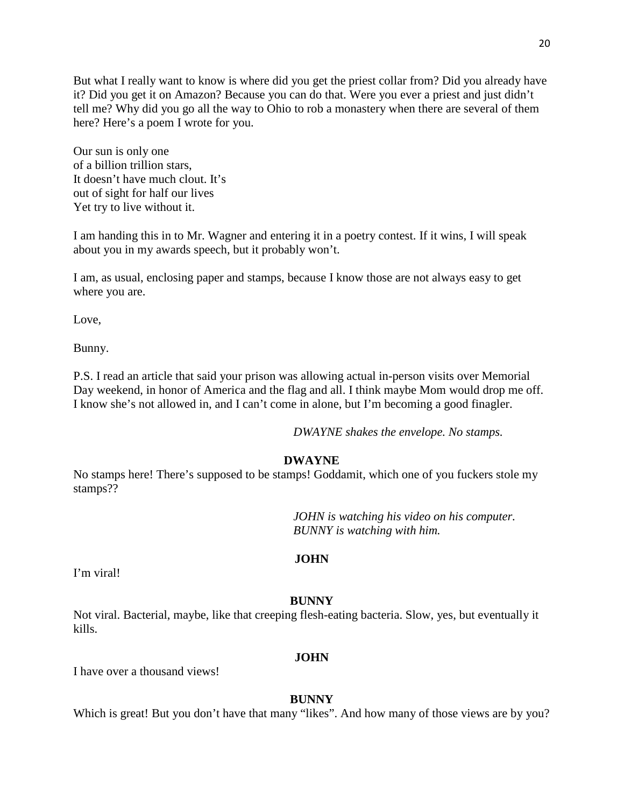But what I really want to know is where did you get the priest collar from? Did you already have it? Did you get it on Amazon? Because you can do that. Were you ever a priest and just didn't tell me? Why did you go all the way to Ohio to rob a monastery when there are several of them here? Here's a poem I wrote for you.

Our sun is only one of a billion trillion stars, It doesn't have much clout. It's out of sight for half our lives Yet try to live without it.

I am handing this in to Mr. Wagner and entering it in a poetry contest. If it wins, I will speak about you in my awards speech, but it probably won't.

I am, as usual, enclosing paper and stamps, because I know those are not always easy to get where you are.

Love,

Bunny.

P.S. I read an article that said your prison was allowing actual in-person visits over Memorial Day weekend, in honor of America and the flag and all. I think maybe Mom would drop me off. I know she's not allowed in, and I can't come in alone, but I'm becoming a good finagler.

*DWAYNE shakes the envelope. No stamps.*

# **DWAYNE**

No stamps here! There's supposed to be stamps! Goddamit, which one of you fuckers stole my stamps??

> *JOHN is watching his video on his computer. BUNNY is watching with him.*

# **JOHN**

I'm viral!

# **BUNNY**

Not viral. Bacterial, maybe, like that creeping flesh-eating bacteria. Slow, yes, but eventually it kills.

# **JOHN**

I have over a thousand views!

# **BUNNY**

Which is great! But you don't have that many "likes". And how many of those views are by you?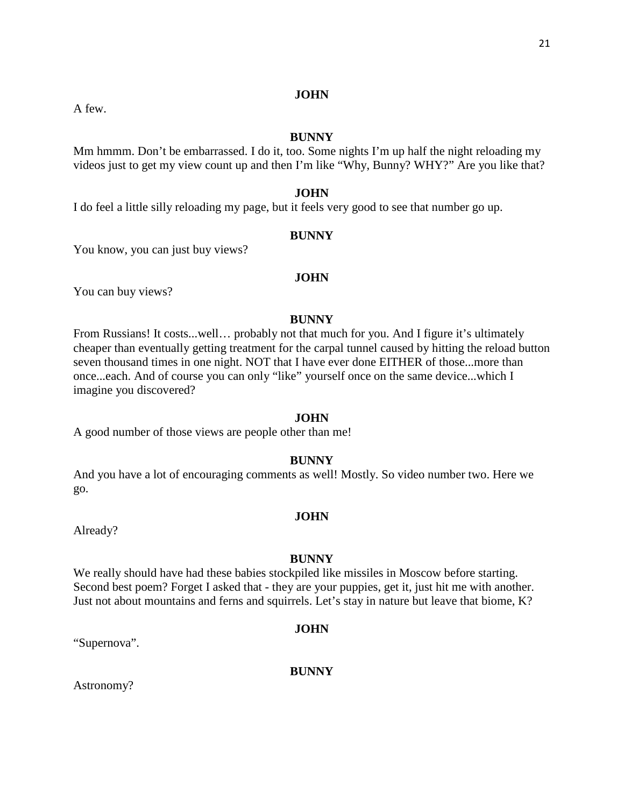A few.

# **JOHN**

# **BUNNY**

Mm hmmm. Don't be embarrassed. I do it, too. Some nights I'm up half the night reloading my videos just to get my view count up and then I'm like "Why, Bunny? WHY?" Are you like that?

# **JOHN**

I do feel a little silly reloading my page, but it feels very good to see that number go up.

# **BUNNY**

You know, you can just buy views?

# **JOHN**

You can buy views?

# **BUNNY**

From Russians! It costs...well... probably not that much for you. And I figure it's ultimately cheaper than eventually getting treatment for the carpal tunnel caused by hitting the reload button seven thousand times in one night. NOT that I have ever done EITHER of those...more than once...each. And of course you can only "like" yourself once on the same device...which I imagine you discovered?

# **JOHN**

A good number of those views are people other than me!

# **BUNNY**

And you have a lot of encouraging comments as well! Mostly. So video number two. Here we go.

# **JOHN**

Already?

# **BUNNY**

We really should have had these babies stockpiled like missiles in Moscow before starting. Second best poem? Forget I asked that - they are your puppies, get it, just hit me with another. Just not about mountains and ferns and squirrels. Let's stay in nature but leave that biome, K?

# **JOHN**

"Supernova".

# **BUNNY**

Astronomy?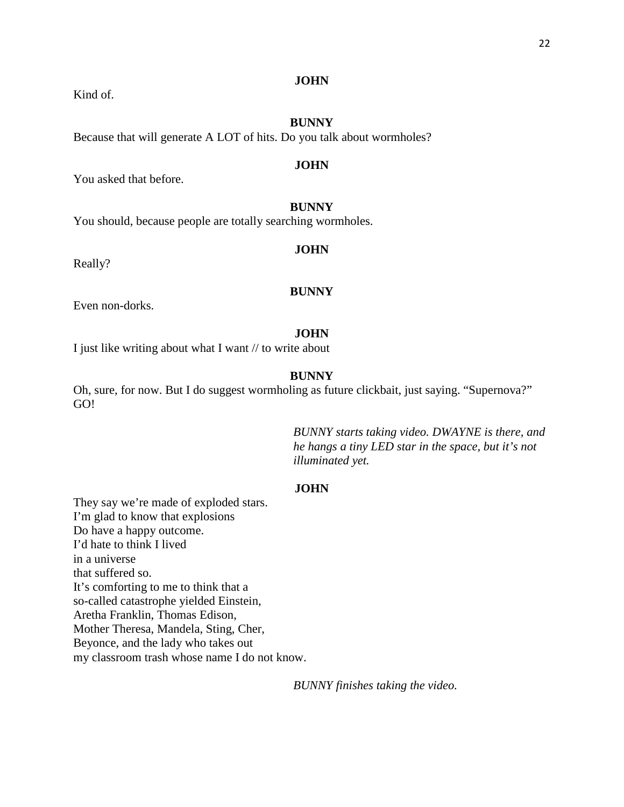Kind of.

# **BUNNY**

Because that will generate A LOT of hits. Do you talk about wormholes?

#### **JOHN**

You asked that before.

# **BUNNY**

You should, because people are totally searching wormholes.

# **JOHN**

Really?

# **BUNNY**

Even non-dorks.

#### **JOHN**

I just like writing about what I want // to write about

# **BUNNY**

Oh, sure, for now. But I do suggest wormholing as future clickbait, just saying. "Supernova?" GO!

> *BUNNY starts taking video. DWAYNE is there, and he hangs a tiny LED star in the space, but it's not illuminated yet.*

# **JOHN**

They say we're made of exploded stars. I'm glad to know that explosions Do have a happy outcome. I'd hate to think I lived in a universe that suffered so. It's comforting to me to think that a so-called catastrophe yielded Einstein, Aretha Franklin, Thomas Edison, Mother Theresa, Mandela, Sting, Cher, Beyonce, and the lady who takes out my classroom trash whose name I do not know.

*BUNNY finishes taking the video.*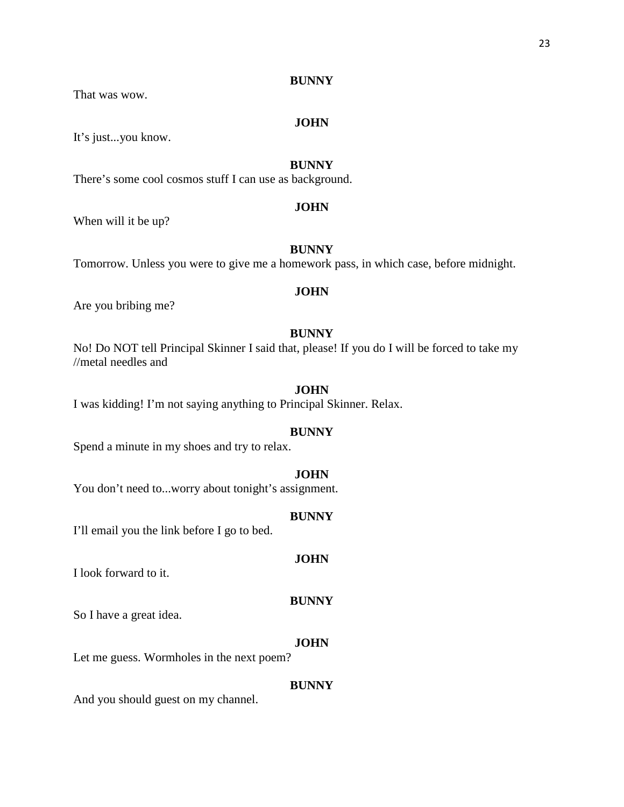That was wow.

#### **JOHN**

It's just...you know.

# **BUNNY**

There's some cool cosmos stuff I can use as background.

## **JOHN**

When will it be up?

# **BUNNY**

Tomorrow. Unless you were to give me a homework pass, in which case, before midnight.

#### **JOHN**

Are you bribing me?

# **BUNNY**

No! Do NOT tell Principal Skinner I said that, please! If you do I will be forced to take my //metal needles and

# **JOHN**

I was kidding! I'm not saying anything to Principal Skinner. Relax.

# **BUNNY**

Spend a minute in my shoes and try to relax.

#### **JOHN**

You don't need to...worry about tonight's assignment.

## **BUNNY**

I'll email you the link before I go to bed.

# **JOHN**

I look forward to it.

#### **BUNNY**

So I have a great idea.

#### **JOHN**

Let me guess. Wormholes in the next poem?

#### **BUNNY**

And you should guest on my channel.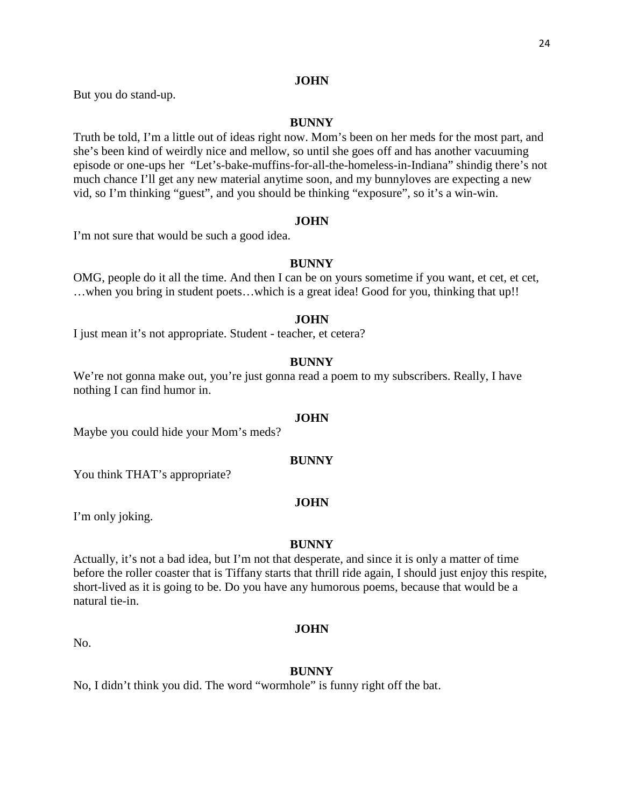But you do stand-up.

# **BUNNY**

Truth be told, I'm a little out of ideas right now. Mom's been on her meds for the most part, and she's been kind of weirdly nice and mellow, so until she goes off and has another vacuuming episode or one-ups her "Let's-bake-muffins-for-all-the-homeless-in-Indiana" shindig there's not much chance I'll get any new material anytime soon, and my bunnyloves are expecting a new vid, so I'm thinking "guest", and you should be thinking "exposure", so it's a win-win.

#### **JOHN**

I'm not sure that would be such a good idea.

# **BUNNY**

OMG, people do it all the time. And then I can be on yours sometime if you want, et cet, et cet, …when you bring in student poets…which is a great idea! Good for you, thinking that up!!

# **JOHN**

I just mean it's not appropriate. Student - teacher, et cetera?

# **BUNNY**

We're not gonna make out, you're just gonna read a poem to my subscribers. Really, I have nothing I can find humor in.

# **JOHN**

Maybe you could hide your Mom's meds?

# **BUNNY**

You think THAT's appropriate?

# **JOHN**

I'm only joking.

# **BUNNY**

Actually, it's not a bad idea, but I'm not that desperate, and since it is only a matter of time before the roller coaster that is Tiffany starts that thrill ride again, I should just enjoy this respite, short-lived as it is going to be. Do you have any humorous poems, because that would be a natural tie-in.

No.

# **BUNNY**

**JOHN**

No, I didn't think you did. The word "wormhole" is funny right off the bat.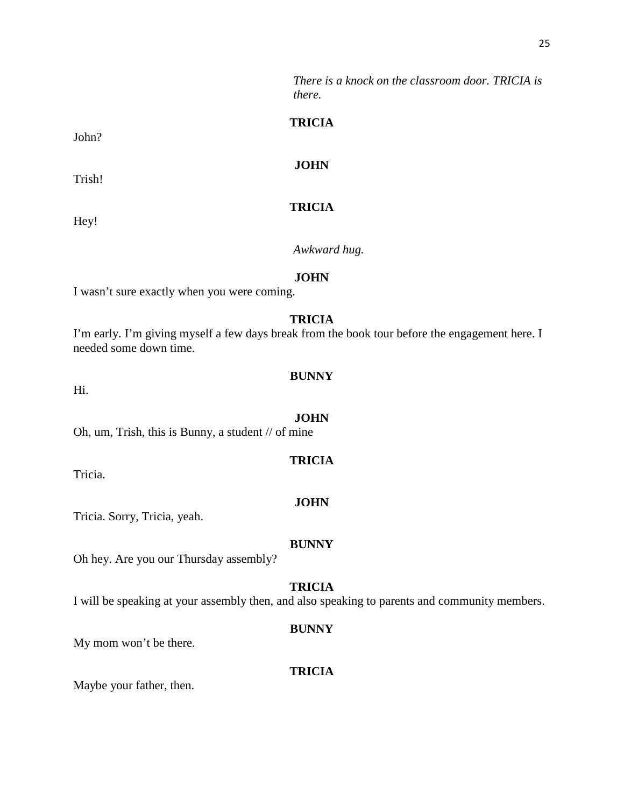*There is a knock on the classroom door. TRICIA is there.*

# **TRICIA**

**JOHN**

# **TRICIA**

*Awkward hug.*

#### **JOHN**

I wasn't sure exactly when you were coming.

# **TRICIA**

I'm early. I'm giving myself a few days break from the book tour before the engagement here. I needed some down time.

#### **BUNNY**

**JOHN** Oh, um, Trish, this is Bunny, a student // of mine

Tricia.

Hi.

Tricia. Sorry, Tricia, yeah.

Oh hey. Are you our Thursday assembly?

# **TRICIA**

**BUNNY**

I will be speaking at your assembly then, and also speaking to parents and community members.

#### **BUNNY**

My mom won't be there.

# **TRICIA**

Maybe your father, then.

# John?

Trish!

Hey!

# **TRICIA**

# **JOHN**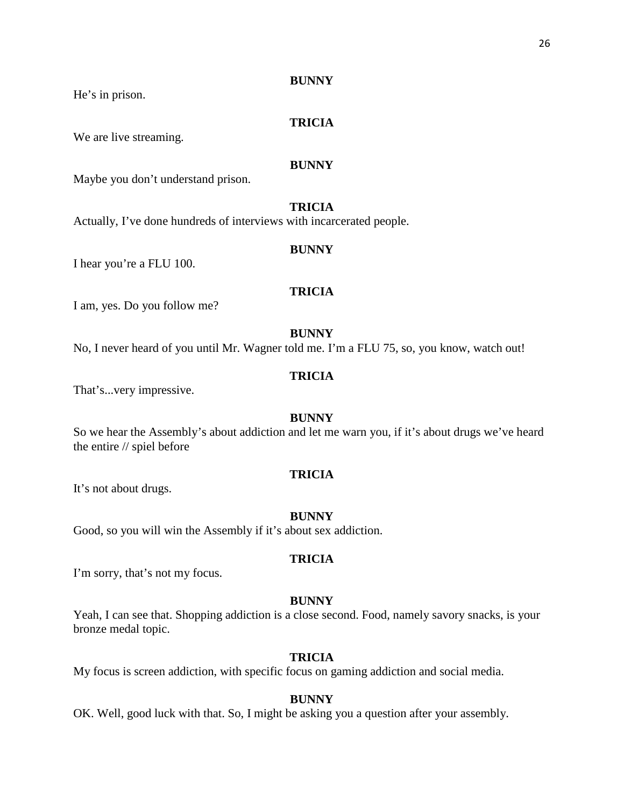He's in prison.

# **TRICIA**

We are live streaming.

# **BUNNY**

Maybe you don't understand prison.

# **TRICIA**

Actually, I've done hundreds of interviews with incarcerated people.

#### **BUNNY**

I hear you're a FLU 100.

# **TRICIA**

I am, yes. Do you follow me?

# **BUNNY**

No, I never heard of you until Mr. Wagner told me. I'm a FLU 75, so, you know, watch out!

# **TRICIA**

That's...very impressive.

# **BUNNY**

So we hear the Assembly's about addiction and let me warn you, if it's about drugs we've heard the entire // spiel before

# **TRICIA**

It's not about drugs.

## **BUNNY**

Good, so you will win the Assembly if it's about sex addiction.

# **TRICIA**

I'm sorry, that's not my focus.

#### **BUNNY**

Yeah, I can see that. Shopping addiction is a close second. Food, namely savory snacks, is your bronze medal topic.

# **TRICIA**

My focus is screen addiction, with specific focus on gaming addiction and social media.

#### **BUNNY**

OK. Well, good luck with that. So, I might be asking you a question after your assembly.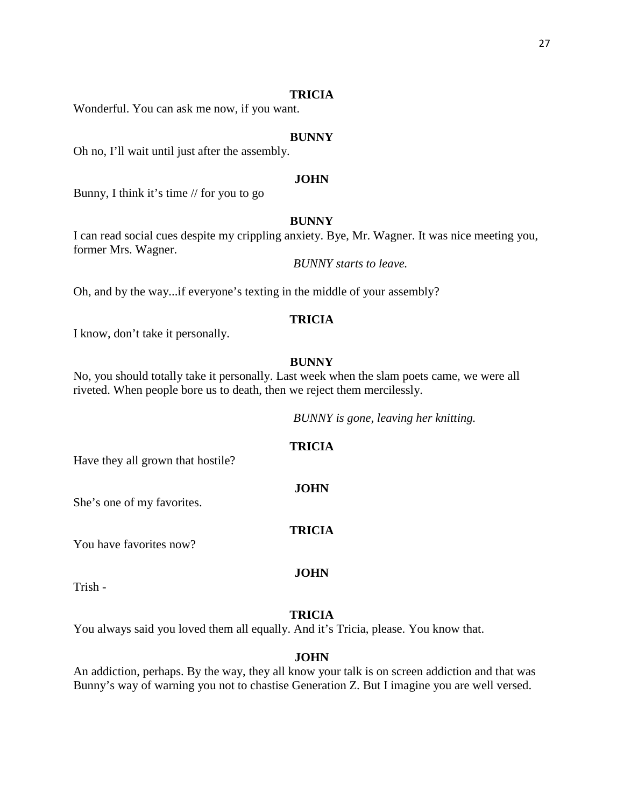#### **TRICIA**

Wonderful. You can ask me now, if you want.

#### **BUNNY**

Oh no, I'll wait until just after the assembly.

#### **JOHN**

Bunny, I think it's time // for you to go

# **BUNNY**

I can read social cues despite my crippling anxiety. Bye, Mr. Wagner. It was nice meeting you, former Mrs. Wagner.

*BUNNY starts to leave.*

Oh, and by the way...if everyone's texting in the middle of your assembly?

# **TRICIA**

I know, don't take it personally.

#### **BUNNY**

No, you should totally take it personally. Last week when the slam poets came, we were all riveted. When people bore us to death, then we reject them mercilessly.

*BUNNY is gone, leaving her knitting.*

# **TRICIA**

**JOHN**

**TRICIA**

**JOHN**

Have they all grown that hostile?

She's one of my favorites.

You have favorites now?

Trish -

#### **TRICIA**

You always said you loved them all equally. And it's Tricia, please. You know that.

#### **JOHN**

An addiction, perhaps. By the way, they all know your talk is on screen addiction and that was Bunny's way of warning you not to chastise Generation Z. But I imagine you are well versed.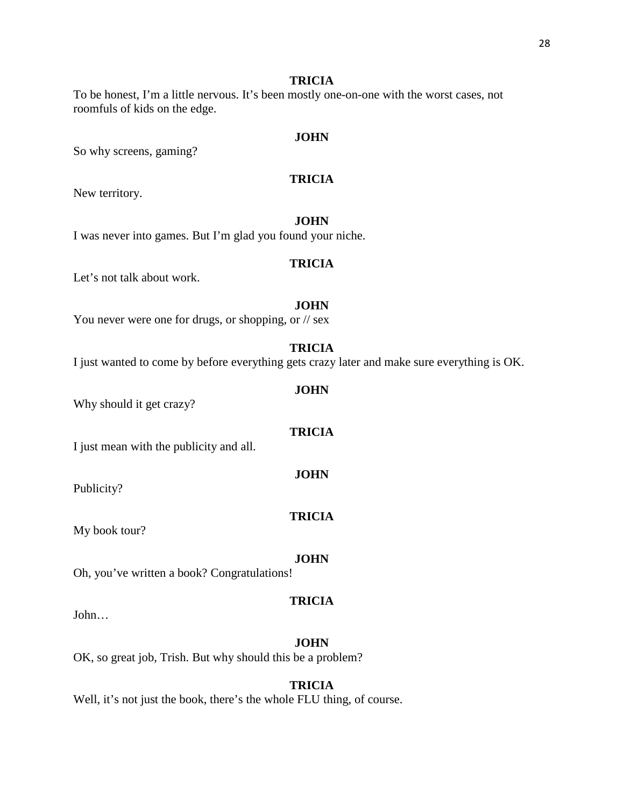# **TRICIA**

To be honest, I'm a little nervous. It's been mostly one-on-one with the worst cases, not roomfuls of kids on the edge.

# **JOHN**

So why screens, gaming?

# **TRICIA**

New territory.

**JOHN** I was never into games. But I'm glad you found your niche.

# **TRICIA**

Let's not talk about work.

# **JOHN**

You never were one for drugs, or shopping, or // sex

**TRICIA**

**JOHN**

**TRICIA**

**JOHN**

**TRICIA**

I just wanted to come by before everything gets crazy later and make sure everything is OK.

Why should it get crazy?

I just mean with the publicity and all.

Publicity?

My book tour?

#### **JOHN**

Oh, you've written a book? Congratulations!

# **TRICIA**

John…

#### **JOHN**

OK, so great job, Trish. But why should this be a problem?

# **TRICIA**

Well, it's not just the book, there's the whole FLU thing, of course.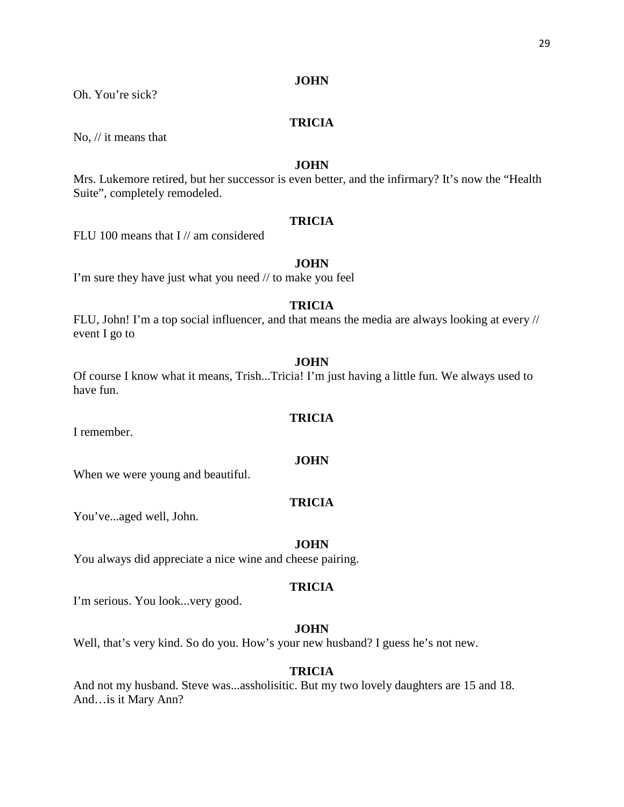Oh. You're sick?

# **TRICIA**

No, // it means that

# **JOHN**

Mrs. Lukemore retired, but her successor is even better, and the infirmary? It's now the "Health Suite", completely remodeled.

# **TRICIA**

FLU 100 means that I // am considered

# **JOHN**

I'm sure they have just what you need // to make you feel

# **TRICIA**

FLU, John! I'm a top social influencer, and that means the media are always looking at every // event I go to

#### **JOHN**

Of course I know what it means, Trish...Tricia! I'm just having a little fun. We always used to have fun.

# **TRICIA**

**JOHN**

I remember.

When we were young and beautiful.

# **TRICIA**

You've...aged well, John.

#### **JOHN**

You always did appreciate a nice wine and cheese pairing.

# **TRICIA**

I'm serious. You look...very good.

# **JOHN**

Well, that's very kind. So do you. How's your new husband? I guess he's not new.

# **TRICIA**

And not my husband. Steve was...assholisitic. But my two lovely daughters are 15 and 18. And…is it Mary Ann?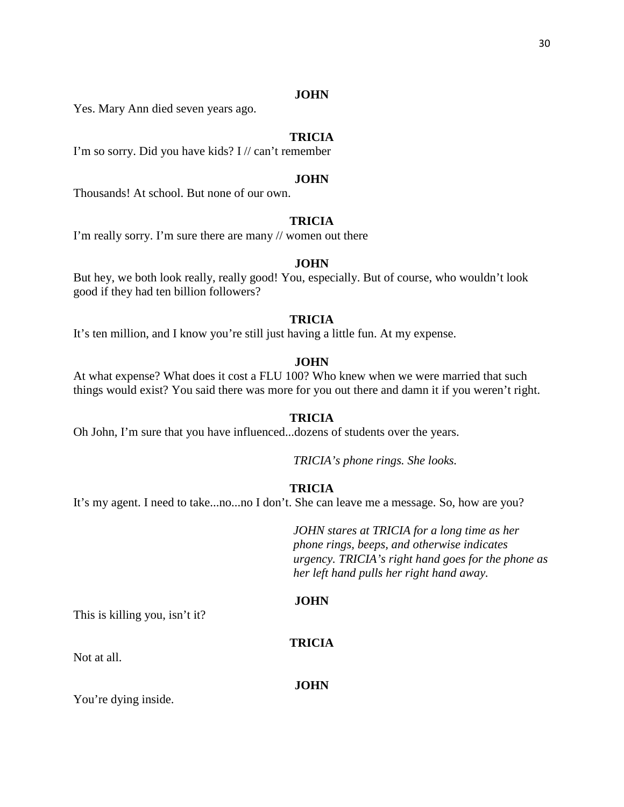Yes. Mary Ann died seven years ago.

# **TRICIA**

I'm so sorry. Did you have kids? I // can't remember

#### **JOHN**

Thousands! At school. But none of our own.

# **TRICIA**

I'm really sorry. I'm sure there are many // women out there

# **JOHN**

But hey, we both look really, really good! You, especially. But of course, who wouldn't look good if they had ten billion followers?

# **TRICIA**

It's ten million, and I know you're still just having a little fun. At my expense.

#### **JOHN**

At what expense? What does it cost a FLU 100? Who knew when we were married that such things would exist? You said there was more for you out there and damn it if you weren't right.

# **TRICIA**

Oh John, I'm sure that you have influenced...dozens of students over the years.

*TRICIA's phone rings. She looks.* 

# **TRICIA**

It's my agent. I need to take...no...no I don't. She can leave me a message. So, how are you?

*JOHN stares at TRICIA for a long time as her phone rings, beeps, and otherwise indicates urgency. TRICIA's right hand goes for the phone as her left hand pulls her right hand away.*

#### **JOHN**

This is killing you, isn't it?

#### **TRICIA**

Not at all.

**JOHN**

You're dying inside.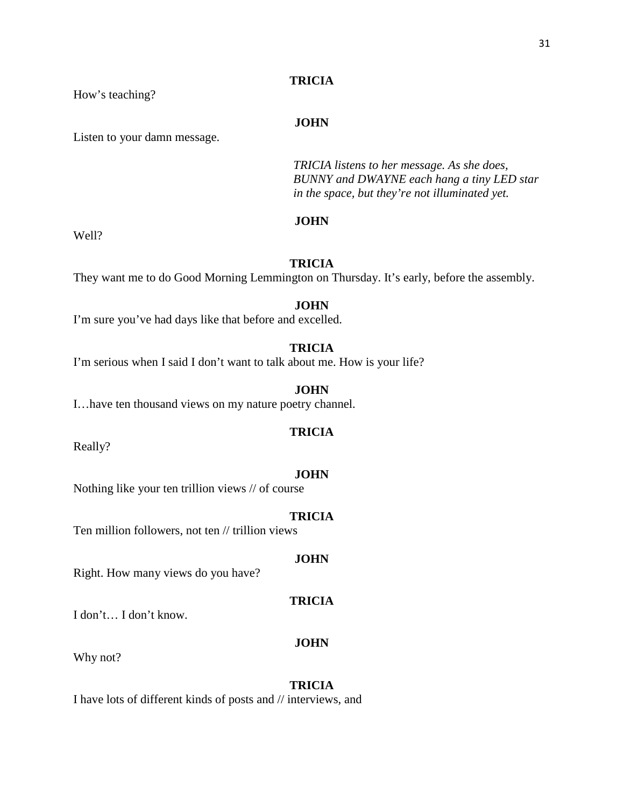# **TRICIA**

How's teaching?

# **JOHN**

Listen to your damn message.

*TRICIA listens to her message. As she does, BUNNY and DWAYNE each hang a tiny LED star in the space, but they're not illuminated yet.*

# **JOHN**

Well?

# **TRICIA**

They want me to do Good Morning Lemmington on Thursday. It's early, before the assembly.

# **JOHN**

I'm sure you've had days like that before and excelled.

# **TRICIA**

I'm serious when I said I don't want to talk about me. How is your life?

#### **JOHN**

I…have ten thousand views on my nature poetry channel.

# **TRICIA**

Really?

#### **JOHN**

Nothing like your ten trillion views // of course

## **TRICIA**

Ten million followers, not ten // trillion views

#### **JOHN**

Right. How many views do you have?

# **TRICIA**

I don't… I don't know.

#### **JOHN**

Why not?

# **TRICIA**

I have lots of different kinds of posts and // interviews, and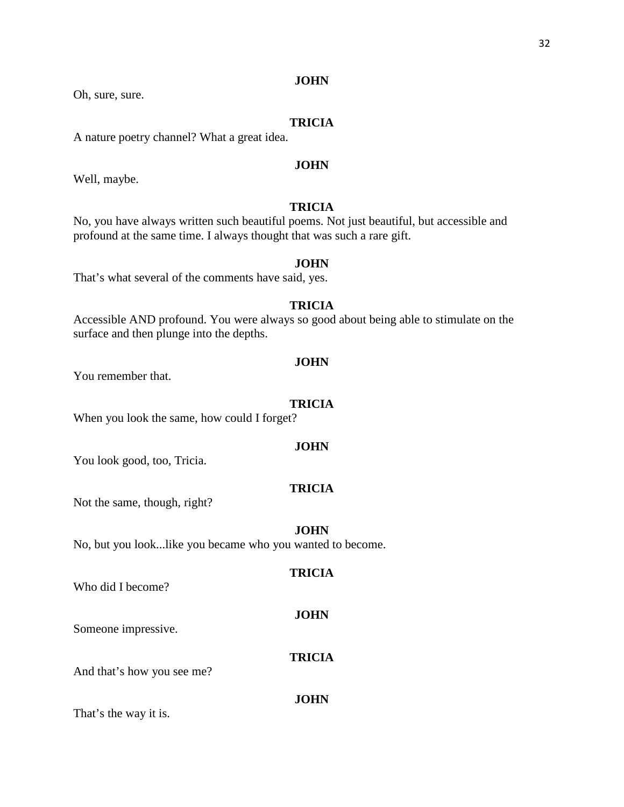Oh, sure, sure.

# **TRICIA**

A nature poetry channel? What a great idea.

# **JOHN**

Well, maybe.

# **TRICIA**

No, you have always written such beautiful poems. Not just beautiful, but accessible and profound at the same time. I always thought that was such a rare gift.

# **JOHN**

That's what several of the comments have said, yes.

# **TRICIA**

Accessible AND profound. You were always so good about being able to stimulate on the surface and then plunge into the depths.

#### **JOHN**

You remember that.

#### **TRICIA**

When you look the same, how could I forget?

#### **JOHN**

You look good, too, Tricia.

# **TRICIA**

Not the same, though, right?

#### **JOHN**

No, but you look...like you became who you wanted to become.

# **TRICIA**

Who did I become?

#### **JOHN**

Someone impressive.

# **TRICIA**

And that's how you see me?

#### **JOHN**

That's the way it is.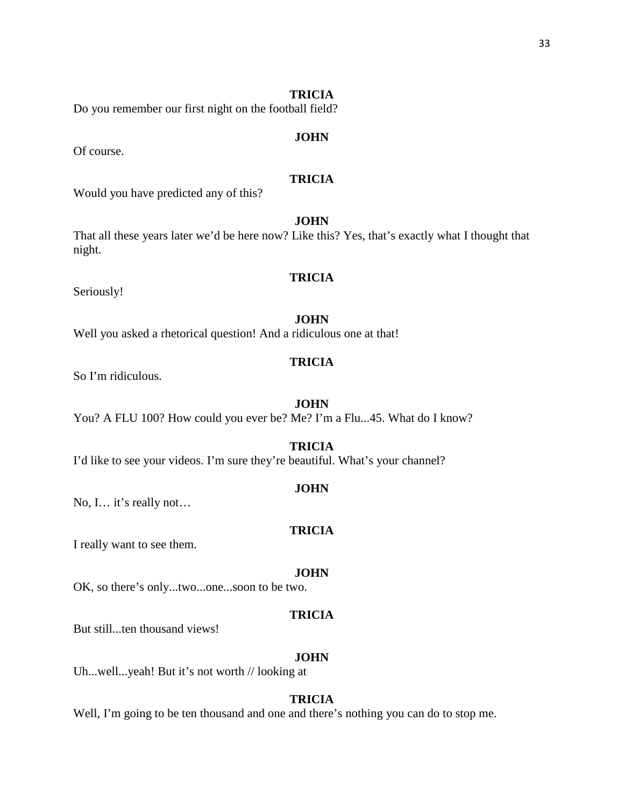# **TRICIA**

Do you remember our first night on the football field?

# **JOHN**

Of course.

# **TRICIA**

Would you have predicted any of this?

# **JOHN**

That all these years later we'd be here now? Like this? Yes, that's exactly what I thought that night.

# **TRICIA**

Seriously!

## **JOHN**

Well you asked a rhetorical question! And a ridiculous one at that!

# **TRICIA**

So I'm ridiculous.

#### **JOHN**

You? A FLU 100? How could you ever be? Me? I'm a Flu...45. What do I know?

#### **TRICIA**

I'd like to see your videos. I'm sure they're beautiful. What's your channel?

# **JOHN**

No, I… it's really not…

#### **TRICIA**

I really want to see them.

#### **JOHN**

OK, so there's only...two...one...soon to be two.

# **TRICIA**

But still...ten thousand views!

# **JOHN**

Uh...well...yeah! But it's not worth // looking at

# **TRICIA**

Well, I'm going to be ten thousand and one and there's nothing you can do to stop me.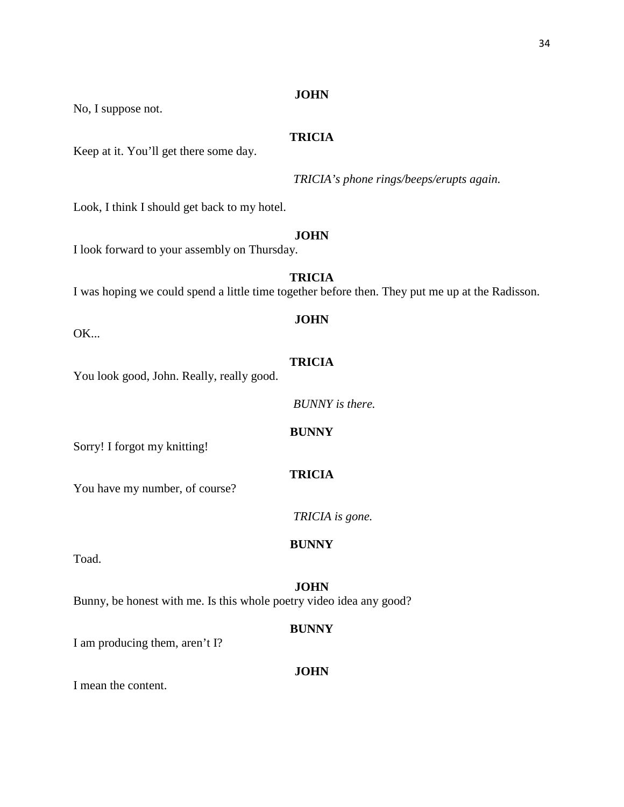No, I suppose not.

# **TRICIA**

Keep at it. You'll get there some day.

*TRICIA's phone rings/beeps/erupts again.*

Look, I think I should get back to my hotel.

# **JOHN**

I look forward to your assembly on Thursday.

**TRICIA** I was hoping we could spend a little time together before then. They put me up at the Radisson.

OK...

# **TRICIA**

**JOHN**

You look good, John. Really, really good.

*BUNNY is there.*

# **BUNNY**

Sorry! I forgot my knitting!

**TRICIA**

You have my number, of course?

*TRICIA is gone.*

Toad.

# **JOHN**

**BUNNY**

Bunny, be honest with me. Is this whole poetry video idea any good?

# **BUNNY**

I am producing them, aren't I?

# **JOHN**

I mean the content.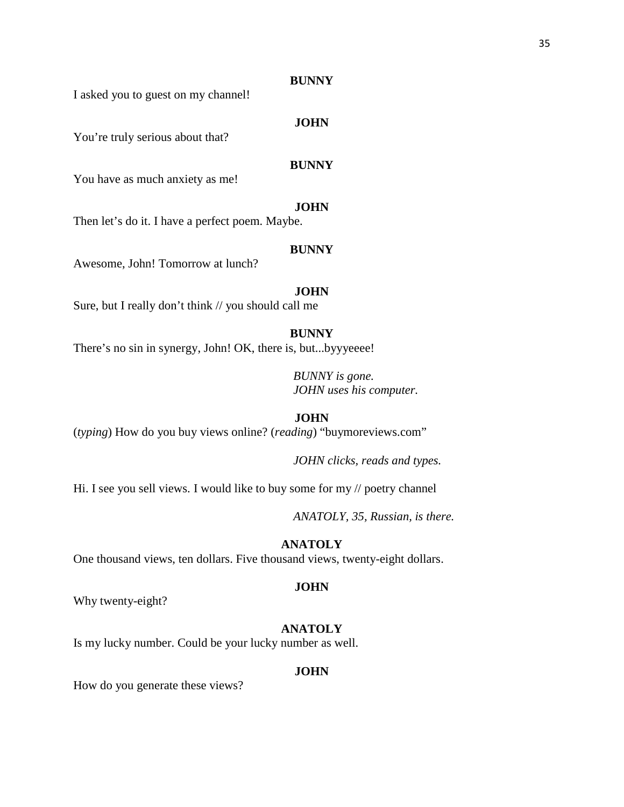I asked you to guest on my channel!

# **JOHN**

You're truly serious about that?

# **BUNNY**

You have as much anxiety as me!

# **JOHN**

Then let's do it. I have a perfect poem. Maybe.

#### **BUNNY**

Awesome, John! Tomorrow at lunch?

# **JOHN**

Sure, but I really don't think // you should call me

#### **BUNNY**

There's no sin in synergy, John! OK, there is, but...byyyeeee!

*BUNNY is gone. JOHN uses his computer.*

# **JOHN**

(*typing*) How do you buy views online? (*reading*) "buymoreviews.com"

*JOHN clicks, reads and types.*

Hi. I see you sell views. I would like to buy some for my // poetry channel

*ANATOLY, 35, Russian, is there.*

# **ANATOLY**

One thousand views, ten dollars. Five thousand views, twenty-eight dollars.

#### **JOHN**

Why twenty-eight?

# **ANATOLY**

Is my lucky number. Could be your lucky number as well.

#### **JOHN**

How do you generate these views?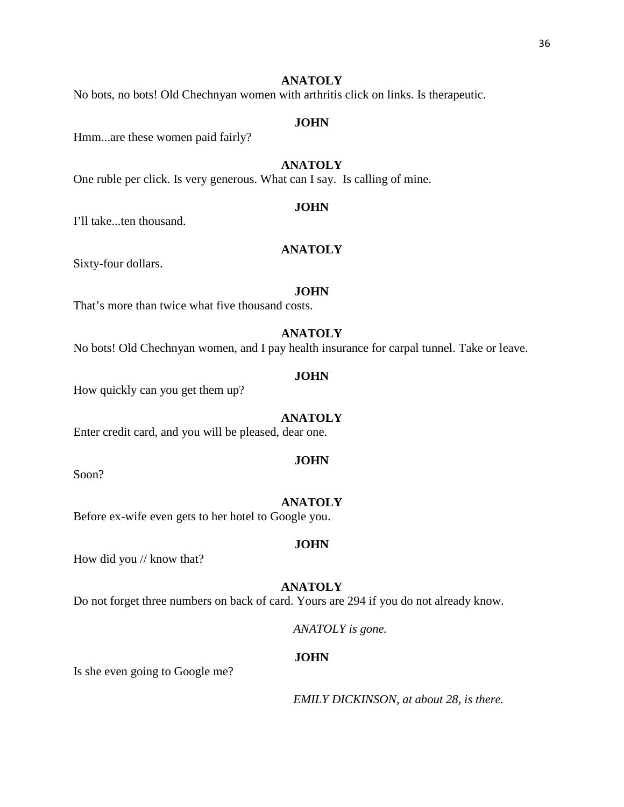# **ANATOLY**

No bots, no bots! Old Chechnyan women with arthritis click on links. Is therapeutic.

#### **JOHN**

Hmm...are these women paid fairly?

# **ANATOLY**

One ruble per click. Is very generous. What can I say. Is calling of mine.

#### **JOHN**

I'll take...ten thousand.

### **ANATOLY**

Sixty-four dollars.

# **JOHN**

That's more than twice what five thousand costs.

# **ANATOLY**

No bots! Old Chechnyan women, and I pay health insurance for carpal tunnel. Take or leave.

#### **JOHN**

How quickly can you get them up?

#### **ANATOLY**

Enter credit card, and you will be pleased, dear one.

Soon?

#### **ANATOLY**

**JOHN**

**JOHN**

Before ex-wife even gets to her hotel to Google you.

How did you // know that?

#### **ANATOLY**

Do not forget three numbers on back of card. Yours are 294 if you do not already know.

*ANATOLY is gone.*

#### **JOHN**

Is she even going to Google me?

*EMILY DICKINSON, at about 28, is there.*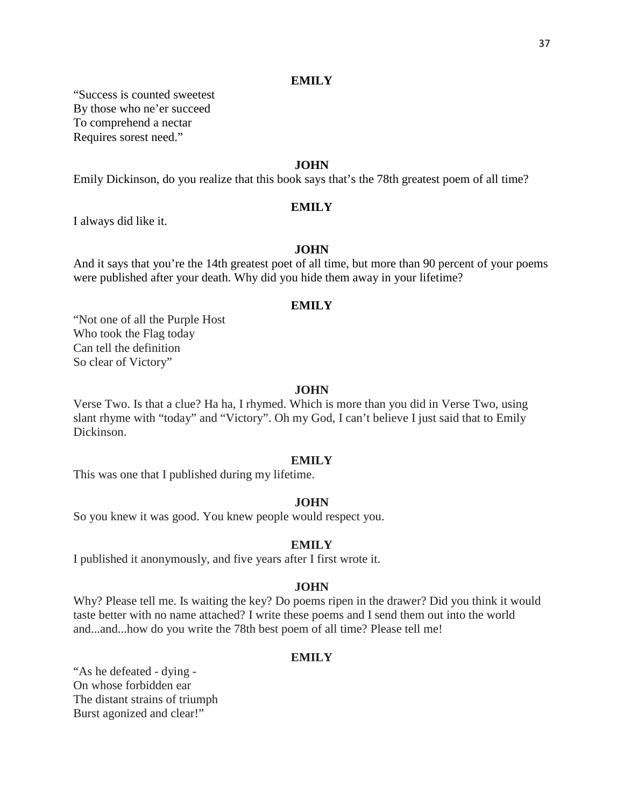# **EMILY**

"Success is counted sweetest By those who ne'er succeed To comprehend a nectar Requires sorest need."

# **JOHN**

Emily Dickinson, do you realize that this book says that's the 78th greatest poem of all time?

#### **EMILY**

I always did like it.

### **JOHN**

And it says that you're the 14th greatest poet of all time, but more than 90 percent of your poems were published after your death. Why did you hide them away in your lifetime?

#### **EMILY**

"Not one of all the Purple Host Who took the Flag today Can tell the definition So clear of Victory"

#### **JOHN**

Verse Two. Is that a clue? Ha ha, I rhymed. Which is more than you did in Verse Two, using slant rhyme with "today" and "Victory". Oh my God, I can't believe I just said that to Emily Dickinson.

#### **EMILY**

This was one that I published during my lifetime.

#### **JOHN**

So you knew it was good. You knew people would respect you.

#### **EMILY**

I published it anonymously, and five years after I first wrote it.

#### **JOHN**

Why? Please tell me. Is waiting the key? Do poems ripen in the drawer? Did you think it would taste better with no name attached? I write these poems and I send them out into the world and...and...how do you write the 78th best poem of all time? Please tell me!

# **EMILY**

"As he defeated - dying - On whose forbidden ear The distant strains of triumph Burst agonized and clear!"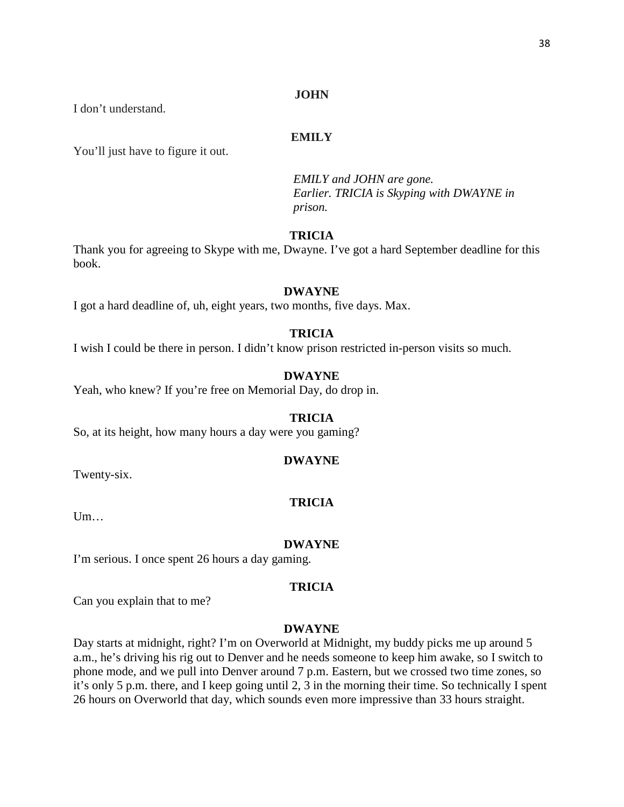I don't understand.

# **EMILY**

You'll just have to figure it out.

*EMILY and JOHN are gone. Earlier. TRICIA is Skyping with DWAYNE in prison.*

# **TRICIA**

Thank you for agreeing to Skype with me, Dwayne. I've got a hard September deadline for this book.

# **DWAYNE**

I got a hard deadline of, uh, eight years, two months, five days. Max.

# **TRICIA**

I wish I could be there in person. I didn't know prison restricted in-person visits so much.

# **DWAYNE**

Yeah, who knew? If you're free on Memorial Day, do drop in.

#### **TRICIA**

So, at its height, how many hours a day were you gaming?

#### **DWAYNE**

Twenty-six.

#### **TRICIA**

Um…

#### **DWAYNE**

I'm serious. I once spent 26 hours a day gaming.

#### **TRICIA**

Can you explain that to me?

# **DWAYNE**

Day starts at midnight, right? I'm on Overworld at Midnight, my buddy picks me up around 5 a.m., he's driving his rig out to Denver and he needs someone to keep him awake, so I switch to phone mode, and we pull into Denver around 7 p.m. Eastern, but we crossed two time zones, so it's only 5 p.m. there, and I keep going until 2, 3 in the morning their time. So technically I spent 26 hours on Overworld that day, which sounds even more impressive than 33 hours straight.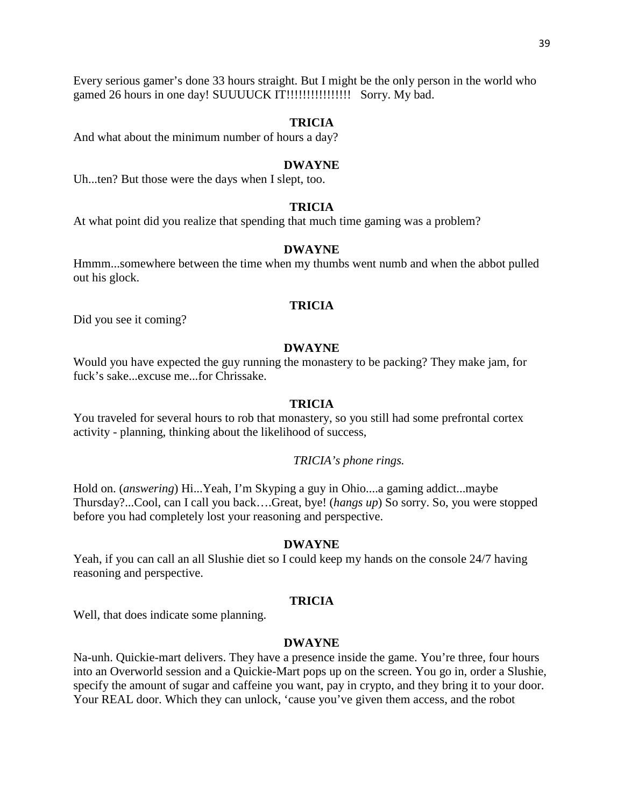Every serious gamer's done 33 hours straight. But I might be the only person in the world who gamed 26 hours in one day! SUUUUCK IT!!!!!!!!!!!!!!!! Sorry. My bad.

#### **TRICIA**

And what about the minimum number of hours a day?

#### **DWAYNE**

Uh...ten? But those were the days when I slept, too.

# **TRICIA**

At what point did you realize that spending that much time gaming was a problem?

#### **DWAYNE**

Hmmm...somewhere between the time when my thumbs went numb and when the abbot pulled out his glock.

# **TRICIA**

Did you see it coming?

#### **DWAYNE**

Would you have expected the guy running the monastery to be packing? They make jam, for fuck's sake...excuse me...for Chrissake.

#### **TRICIA**

You traveled for several hours to rob that monastery, so you still had some prefrontal cortex activity - planning, thinking about the likelihood of success,

#### *TRICIA's phone rings.*

Hold on. (*answering*) Hi...Yeah, I'm Skyping a guy in Ohio....a gaming addict...maybe Thursday?...Cool, can I call you back….Great, bye! (*hangs up*) So sorry. So, you were stopped before you had completely lost your reasoning and perspective.

# **DWAYNE**

Yeah, if you can call an all Slushie diet so I could keep my hands on the console 24/7 having reasoning and perspective.

#### **TRICIA**

Well, that does indicate some planning.

#### **DWAYNE**

Na-unh. Quickie-mart delivers. They have a presence inside the game. You're three, four hours into an Overworld session and a Quickie-Mart pops up on the screen. You go in, order a Slushie, specify the amount of sugar and caffeine you want, pay in crypto, and they bring it to your door. Your REAL door. Which they can unlock, 'cause you've given them access, and the robot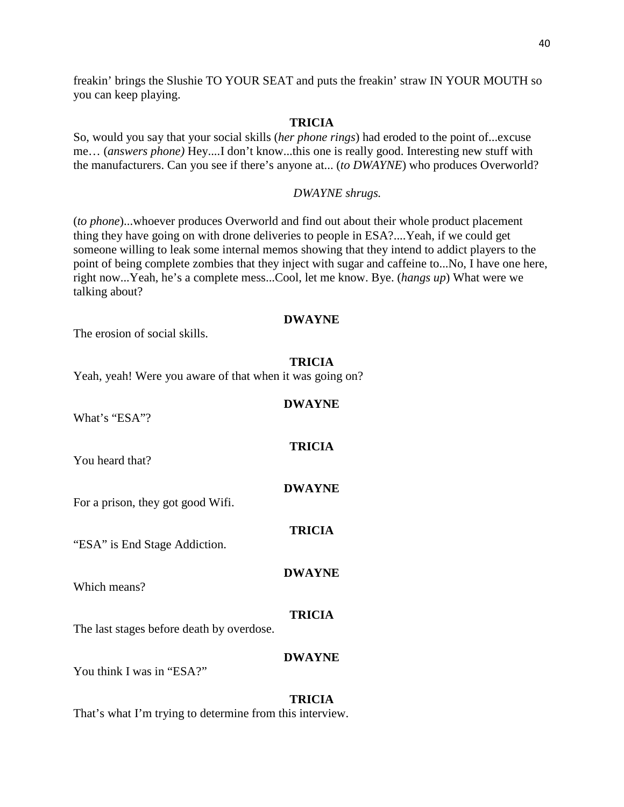freakin' brings the Slushie TO YOUR SEAT and puts the freakin' straw IN YOUR MOUTH so you can keep playing.

#### **TRICIA**

So, would you say that your social skills (*her phone rings*) had eroded to the point of...excuse me… (*answers phone)* Hey....I don't know...this one is really good. Interesting new stuff with the manufacturers. Can you see if there's anyone at... (*to DWAYNE*) who produces Overworld?

# *DWAYNE shrugs.*

(*to phone*)...whoever produces Overworld and find out about their whole product placement thing they have going on with drone deliveries to people in ESA?....Yeah, if we could get someone willing to leak some internal memos showing that they intend to addict players to the point of being complete zombies that they inject with sugar and caffeine to...No, I have one here, right now...Yeah, he's a complete mess...Cool, let me know. Bye. (*hangs up*) What were we talking about?

# **DWAYNE**

The erosion of social skills.

#### **TRICIA**

**DWAYNE**

**TRICIA**

**DWAYNE**

**TRICIA**

**DWAYNE**

Yeah, yeah! Were you aware of that when it was going on?

What's "ESA"?

You heard that?

For a prison, they got good Wifi.

"ESA" is End Stage Addiction.

Which means?

#### **TRICIA**

The last stages before death by overdose.

# **DWAYNE**

You think I was in "ESA?"

#### **TRICIA**

That's what I'm trying to determine from this interview.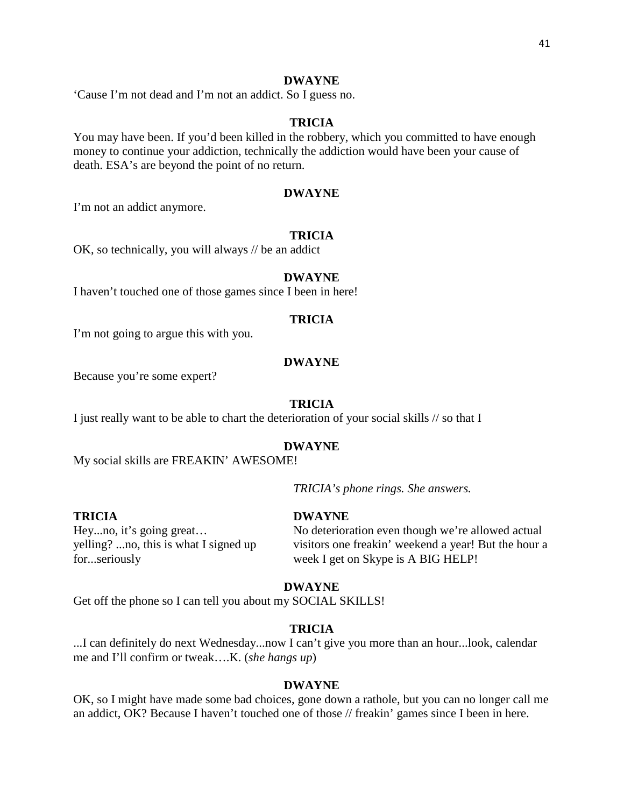# **DWAYNE**

'Cause I'm not dead and I'm not an addict. So I guess no.

# **TRICIA**

You may have been. If you'd been killed in the robbery, which you committed to have enough money to continue your addiction, technically the addiction would have been your cause of death. ESA's are beyond the point of no return.

# **DWAYNE**

I'm not an addict anymore.

# **TRICIA**

OK, so technically, you will always // be an addict

#### **DWAYNE**

I haven't touched one of those games since I been in here!

## **TRICIA**

I'm not going to argue this with you.

#### **DWAYNE**

Because you're some expert?

#### **TRICIA**

I just really want to be able to chart the deterioration of your social skills // so that I

#### **DWAYNE**

My social skills are FREAKIN' AWESOME!

*TRICIA's phone rings. She answers.*

# **TRICIA DWAYNE**

Hey...no, it's going great... No deterioration even though we're allowed actual yelling? ...no, this is what I signed up visitors one freakin' weekend a year! But the hour a for...seriously week I get on Skype is A BIG HELP!

#### **DWAYNE**

Get off the phone so I can tell you about my SOCIAL SKILLS!

# **TRICIA**

...I can definitely do next Wednesday...now I can't give you more than an hour...look, calendar me and I'll confirm or tweak….K. (*she hangs up*)

#### **DWAYNE**

OK, so I might have made some bad choices, gone down a rathole, but you can no longer call me an addict, OK? Because I haven't touched one of those // freakin' games since I been in here.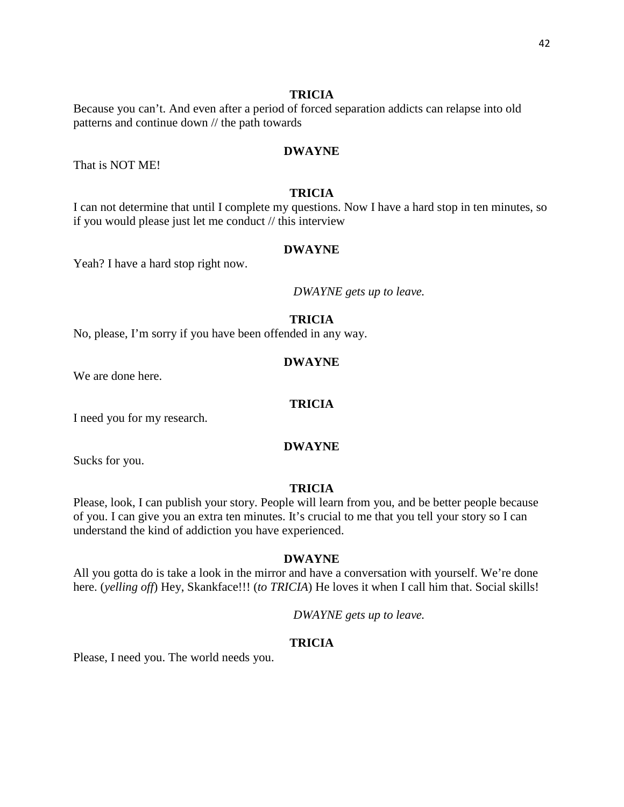# **TRICIA**

Because you can't. And even after a period of forced separation addicts can relapse into old patterns and continue down // the path towards

# **DWAYNE**

That is NOT ME!

# **TRICIA**

I can not determine that until I complete my questions. Now I have a hard stop in ten minutes, so if you would please just let me conduct // this interview

#### **DWAYNE**

Yeah? I have a hard stop right now.

*DWAYNE gets up to leave.*

## **TRICIA**

No, please, I'm sorry if you have been offended in any way.

#### **DWAYNE**

We are done here.

# **TRICIA**

I need you for my research.

#### **DWAYNE**

Sucks for you.

# **TRICIA**

Please, look, I can publish your story. People will learn from you, and be better people because of you. I can give you an extra ten minutes. It's crucial to me that you tell your story so I can understand the kind of addiction you have experienced.

#### **DWAYNE**

All you gotta do is take a look in the mirror and have a conversation with yourself. We're done here. (*yelling off*) Hey, Skankface!!! (*to TRICIA*) He loves it when I call him that. Social skills!

*DWAYNE gets up to leave.*

#### **TRICIA**

Please, I need you. The world needs you.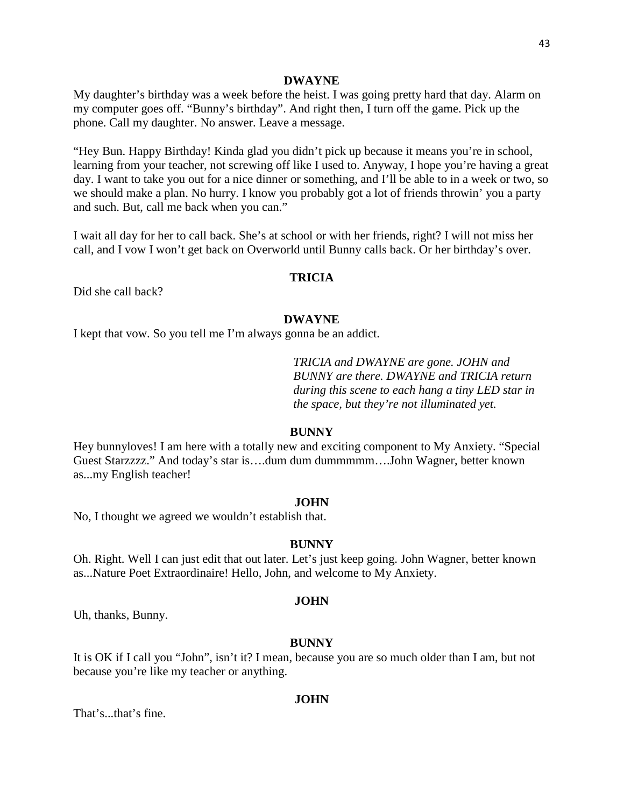#### **DWAYNE**

My daughter's birthday was a week before the heist. I was going pretty hard that day. Alarm on my computer goes off. "Bunny's birthday". And right then, I turn off the game. Pick up the phone. Call my daughter. No answer. Leave a message.

"Hey Bun. Happy Birthday! Kinda glad you didn't pick up because it means you're in school, learning from your teacher, not screwing off like I used to. Anyway, I hope you're having a great day. I want to take you out for a nice dinner or something, and I'll be able to in a week or two, so we should make a plan. No hurry. I know you probably got a lot of friends throwin' you a party and such. But, call me back when you can."

I wait all day for her to call back. She's at school or with her friends, right? I will not miss her call, and I vow I won't get back on Overworld until Bunny calls back. Or her birthday's over.

# **TRICIA**

Did she call back?

#### **DWAYNE**

I kept that vow. So you tell me I'm always gonna be an addict.

*TRICIA and DWAYNE are gone. JOHN and BUNNY are there. DWAYNE and TRICIA return during this scene to each hang a tiny LED star in the space, but they're not illuminated yet.*

#### **BUNNY**

Hey bunnyloves! I am here with a totally new and exciting component to My Anxiety. "Special Guest Starzzzz." And today's star is….dum dum dummmmm….John Wagner, better known as...my English teacher!

#### **JOHN**

No, I thought we agreed we wouldn't establish that.

# **BUNNY**

Oh. Right. Well I can just edit that out later. Let's just keep going. John Wagner, better known as...Nature Poet Extraordinaire! Hello, John, and welcome to My Anxiety.

#### **JOHN**

Uh, thanks, Bunny.

#### **BUNNY**

It is OK if I call you "John", isn't it? I mean, because you are so much older than I am, but not because you're like my teacher or anything.

#### **JOHN**

That's...that's fine.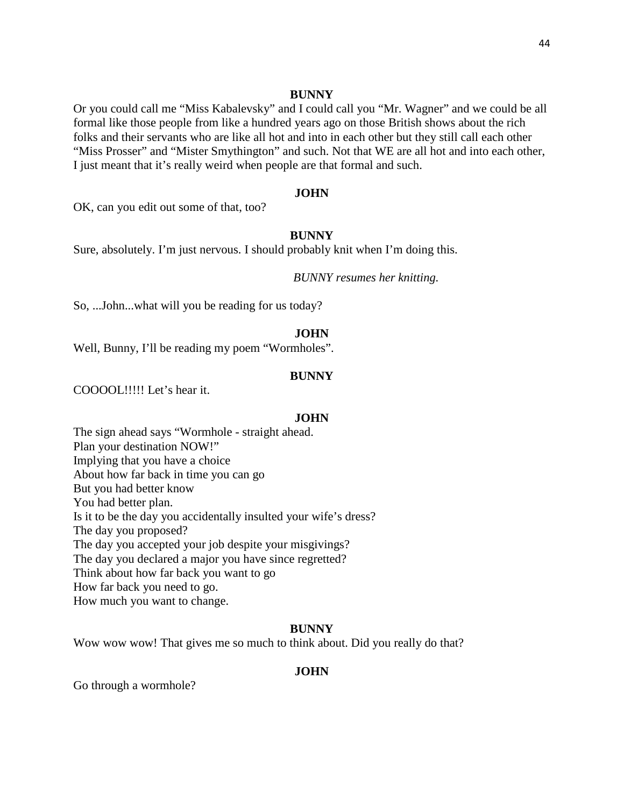Or you could call me "Miss Kabalevsky" and I could call you "Mr. Wagner" and we could be all formal like those people from like a hundred years ago on those British shows about the rich folks and their servants who are like all hot and into in each other but they still call each other "Miss Prosser" and "Mister Smythington" and such. Not that WE are all hot and into each other, I just meant that it's really weird when people are that formal and such.

#### **JOHN**

OK, can you edit out some of that, too?

# **BUNNY**

Sure, absolutely. I'm just nervous. I should probably knit when I'm doing this.

*BUNNY resumes her knitting.*

So, ...John...what will you be reading for us today?

# **JOHN**

Well, Bunny, I'll be reading my poem "Wormholes".

# **BUNNY**

COOOOL!!!!! Let's hear it.

#### **JOHN**

The sign ahead says "Wormhole - straight ahead. Plan your destination NOW!" Implying that you have a choice About how far back in time you can go But you had better know You had better plan. Is it to be the day you accidentally insulted your wife's dress? The day you proposed? The day you accepted your job despite your misgivings? The day you declared a major you have since regretted? Think about how far back you want to go How far back you need to go. How much you want to change.

# **BUNNY**

Wow wow wow! That gives me so much to think about. Did you really do that?

# **JOHN**

Go through a wormhole?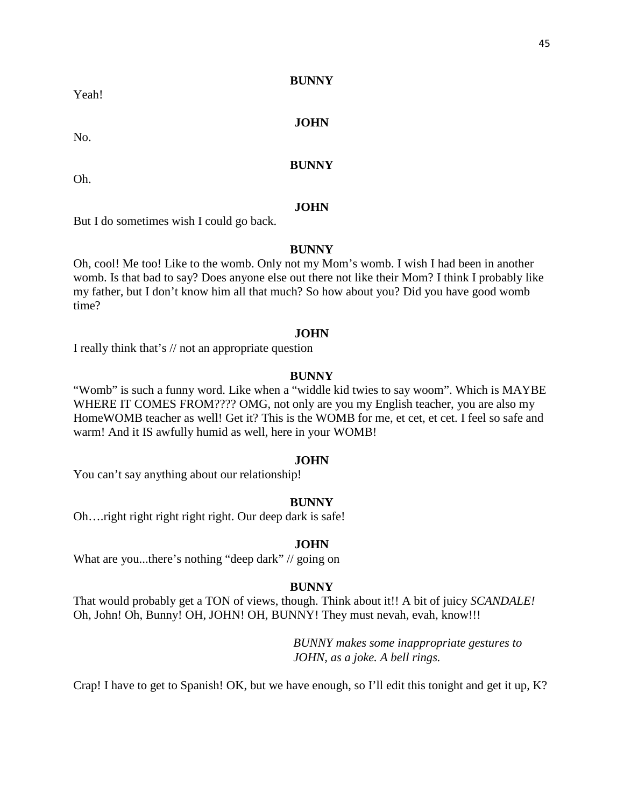Yeah!

**BUNNY**

# **JOHN**

#### **BUNNY**

Oh.

No.

#### **JOHN**

But I do sometimes wish I could go back.

#### **BUNNY**

Oh, cool! Me too! Like to the womb. Only not my Mom's womb. I wish I had been in another womb. Is that bad to say? Does anyone else out there not like their Mom? I think I probably like my father, but I don't know him all that much? So how about you? Did you have good womb time?

#### **JOHN**

I really think that's // not an appropriate question

#### **BUNNY**

"Womb" is such a funny word. Like when a "widdle kid twies to say woom". Which is MAYBE WHERE IT COMES FROM???? OMG, not only are you my English teacher, you are also my HomeWOMB teacher as well! Get it? This is the WOMB for me, et cet, et cet. I feel so safe and warm! And it IS awfully humid as well, here in your WOMB!

#### **JOHN**

You can't say anything about our relationship!

#### **BUNNY**

Oh….right right right right right. Our deep dark is safe!

#### **JOHN**

What are you...there's nothing "deep dark" // going on

#### **BUNNY**

That would probably get a TON of views, though. Think about it!! A bit of juicy *SCANDALE!*  Oh, John! Oh, Bunny! OH, JOHN! OH, BUNNY! They must nevah, evah, know!!!

> *BUNNY makes some inappropriate gestures to JOHN, as a joke. A bell rings.*

Crap! I have to get to Spanish! OK, but we have enough, so I'll edit this tonight and get it up, K?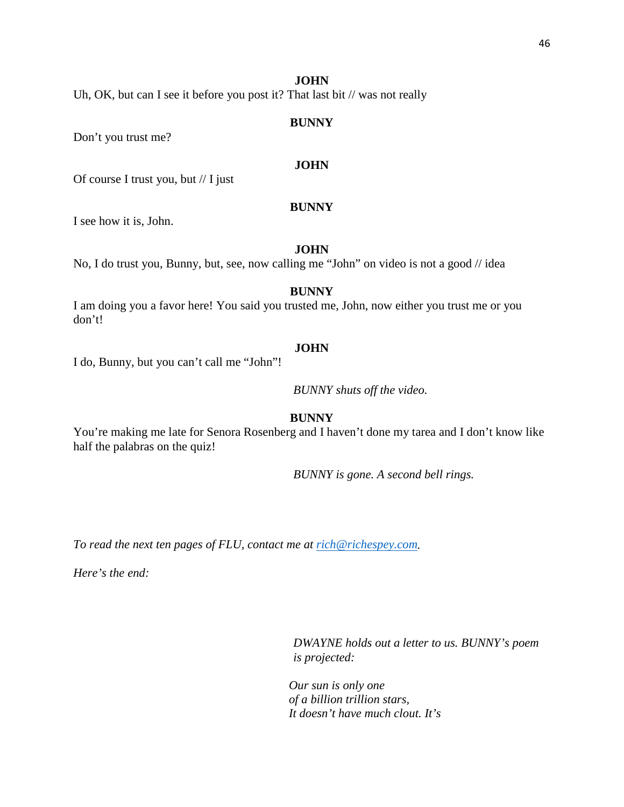Uh, OK, but can I see it before you post it? That last bit // was not really

#### **BUNNY**

Don't you trust me?

# **JOHN**

Of course I trust you, but // I just

# **BUNNY**

I see how it is, John.

#### **JOHN**

No, I do trust you, Bunny, but, see, now calling me "John" on video is not a good // idea

# **BUNNY**

I am doing you a favor here! You said you trusted me, John, now either you trust me or you don't!

# **JOHN**

I do, Bunny, but you can't call me "John"!

*BUNNY shuts off the video.*

# **BUNNY**

You're making me late for Senora Rosenberg and I haven't done my tarea and I don't know like half the palabras on the quiz!

*BUNNY is gone. A second bell rings.*

*To read the next ten pages of FLU, contact me at [rich@richespey.com.](mailto:rich@richespey.com)*

*Here's the end:*

*DWAYNE holds out a letter to us. BUNNY's poem is projected:*

*Our sun is only one of a billion trillion stars, It doesn't have much clout. It's*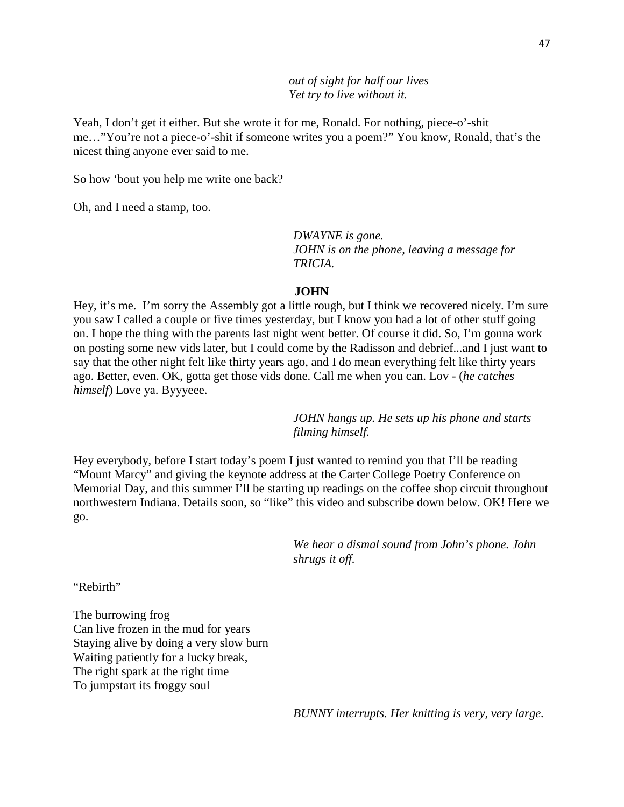*out of sight for half our lives Yet try to live without it.*

Yeah, I don't get it either. But she wrote it for me, Ronald. For nothing, piece-o'-shit me…"You're not a piece-o'-shit if someone writes you a poem?" You know, Ronald, that's the nicest thing anyone ever said to me.

So how 'bout you help me write one back?

Oh, and I need a stamp, too.

*DWAYNE is gone. JOHN is on the phone, leaving a message for TRICIA.*

#### **JOHN**

Hey, it's me. I'm sorry the Assembly got a little rough, but I think we recovered nicely. I'm sure you saw I called a couple or five times yesterday, but I know you had a lot of other stuff going on. I hope the thing with the parents last night went better. Of course it did. So, I'm gonna work on posting some new vids later, but I could come by the Radisson and debrief...and I just want to say that the other night felt like thirty years ago, and I do mean everything felt like thirty years ago. Better, even. OK, gotta get those vids done. Call me when you can. Lov - (*he catches himself*) Love ya. Byyyeee.

> *JOHN hangs up. He sets up his phone and starts filming himself.*

Hey everybody, before I start today's poem I just wanted to remind you that I'll be reading "Mount Marcy" and giving the keynote address at the Carter College Poetry Conference on Memorial Day, and this summer I'll be starting up readings on the coffee shop circuit throughout northwestern Indiana. Details soon, so "like" this video and subscribe down below. OK! Here we go.

> *We hear a dismal sound from John's phone. John shrugs it off.*

"Rebirth"

The burrowing frog Can live frozen in the mud for years Staying alive by doing a very slow burn Waiting patiently for a lucky break, The right spark at the right time To jumpstart its froggy soul

*BUNNY interrupts. Her knitting is very, very large.*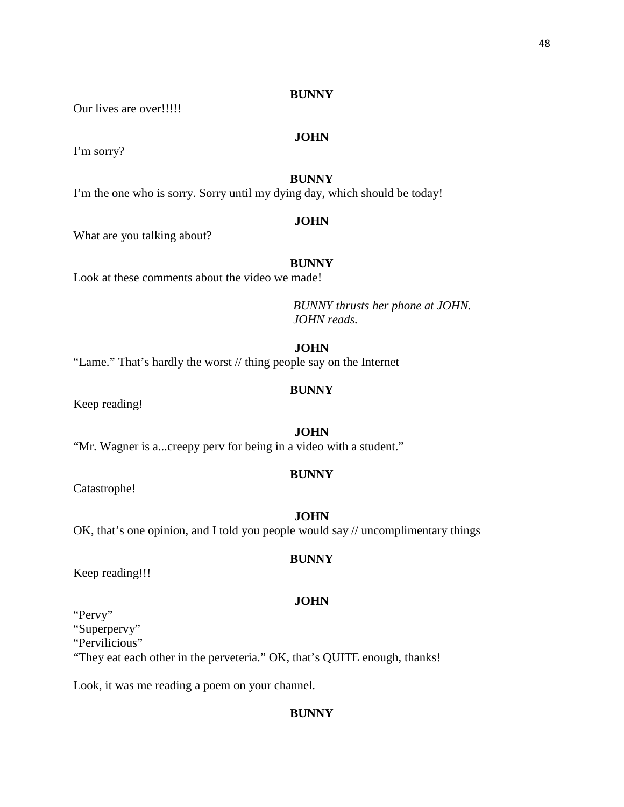Our lives are over!!!!!

# **JOHN**

I'm sorry?

# **BUNNY**

I'm the one who is sorry. Sorry until my dying day, which should be today!

#### **JOHN**

What are you talking about?

# **BUNNY**

Look at these comments about the video we made!

*BUNNY thrusts her phone at JOHN. JOHN reads.*

# **JOHN**

"Lame." That's hardly the worst // thing people say on the Internet

## **BUNNY**

Keep reading!

# **JOHN**

"Mr. Wagner is a...creepy perv for being in a video with a student."

# **BUNNY**

Catastrophe!

# **JOHN**

OK, that's one opinion, and I told you people would say // uncomplimentary things

#### **BUNNY**

Keep reading!!!

# **JOHN**

"Pervy" "Superpervy"

"Pervilicious"

"They eat each other in the perveteria." OK, that's QUITE enough, thanks!

Look, it was me reading a poem on your channel.

# **BUNNY**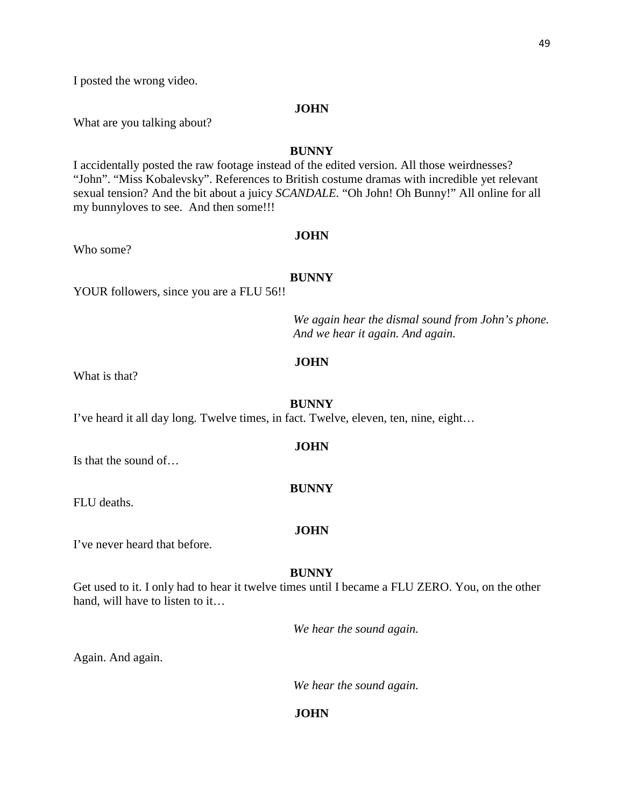I posted the wrong video.

#### **JOHN**

What are you talking about?

# **BUNNY**

I accidentally posted the raw footage instead of the edited version. All those weirdnesses? "John". "Miss Kobalevsky". References to British costume dramas with incredible yet relevant sexual tension? And the bit about a juicy *SCANDALE.* "Oh John! Oh Bunny!" All online for all my bunnyloves to see. And then some!!!

# **JOHN**

Who some?

#### **BUNNY**

YOUR followers, since you are a FLU 56!!

*We again hear the dismal sound from John's phone. And we hear it again. And again.*

#### **JOHN**

What is that?

#### **BUNNY**

I've heard it all day long. Twelve times, in fact. Twelve, eleven, ten, nine, eight…

#### **JOHN**

**BUNNY**

Is that the sound of…

FLU deaths.

#### **JOHN**

I've never heard that before.

#### **BUNNY**

Get used to it. I only had to hear it twelve times until I became a FLU ZERO. You, on the other hand, will have to listen to it...

*We hear the sound again.*

Again. And again.

*We hear the sound again.*

# **JOHN**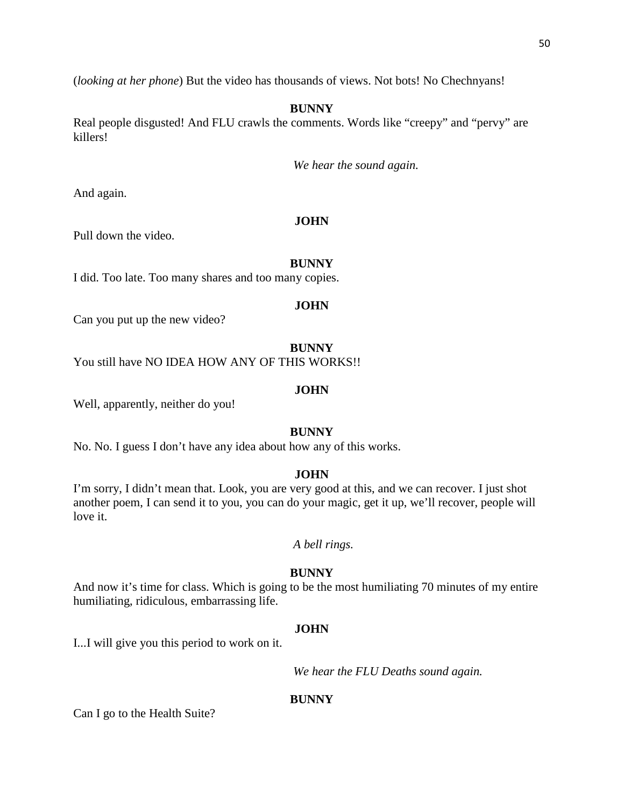(*looking at her phone*) But the video has thousands of views. Not bots! No Chechnyans!

# **BUNNY**

Real people disgusted! And FLU crawls the comments. Words like "creepy" and "pervy" are killers!

*We hear the sound again.*

And again.

# **JOHN**

Pull down the video.

# **BUNNY**

I did. Too late. Too many shares and too many copies.

#### **JOHN**

Can you put up the new video?

# **BUNNY**

You still have NO IDEA HOW ANY OF THIS WORKS!!

#### **JOHN**

Well, apparently, neither do you!

# **BUNNY**

No. No. I guess I don't have any idea about how any of this works.

#### **JOHN**

I'm sorry, I didn't mean that. Look, you are very good at this, and we can recover. I just shot another poem, I can send it to you, you can do your magic, get it up, we'll recover, people will love it.

*A bell rings.*

#### **BUNNY**

And now it's time for class. Which is going to be the most humiliating 70 minutes of my entire humiliating, ridiculous, embarrassing life.

# **JOHN**

I...I will give you this period to work on it.

*We hear the FLU Deaths sound again.*

#### **BUNNY**

Can I go to the Health Suite?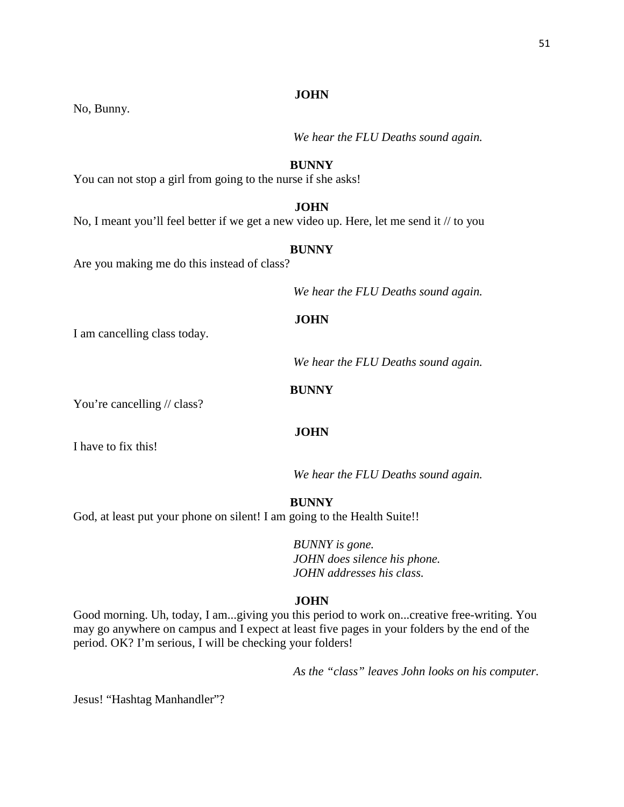No, Bunny.

*We hear the FLU Deaths sound again.*

# **BUNNY**

You can not stop a girl from going to the nurse if she asks!

# **JOHN**

No, I meant you'll feel better if we get a new video up. Here, let me send it // to you

# **BUNNY**

Are you making me do this instead of class?

*We hear the FLU Deaths sound again.*

# **JOHN**

I am cancelling class today.

*We hear the FLU Deaths sound again.*

# **BUNNY**

**JOHN**

You're cancelling // class?

I have to fix this!

*We hear the FLU Deaths sound again.*

**BUNNY**

God, at least put your phone on silent! I am going to the Health Suite!!

*BUNNY is gone. JOHN does silence his phone. JOHN addresses his class.*

# **JOHN**

Good morning. Uh, today, I am...giving you this period to work on...creative free-writing. You may go anywhere on campus and I expect at least five pages in your folders by the end of the period. OK? I'm serious, I will be checking your folders!

*As the "class" leaves John looks on his computer.* 

Jesus! "Hashtag Manhandler"?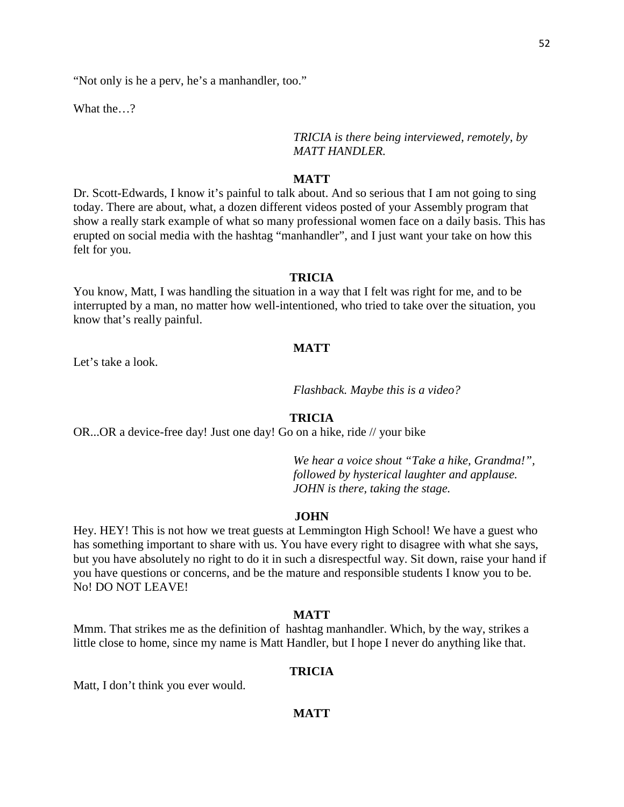"Not only is he a perv, he's a manhandler, too."

What the…?

*TRICIA is there being interviewed, remotely, by MATT HANDLER.*

# **MATT**

Dr. Scott-Edwards, I know it's painful to talk about. And so serious that I am not going to sing today. There are about, what, a dozen different videos posted of your Assembly program that show a really stark example of what so many professional women face on a daily basis. This has erupted on social media with the hashtag "manhandler", and I just want your take on how this felt for you.

# **TRICIA**

You know, Matt, I was handling the situation in a way that I felt was right for me, and to be interrupted by a man, no matter how well-intentioned, who tried to take over the situation, you know that's really painful.

# **MATT**

Let's take a look.

*Flashback. Maybe this is a video?*

#### **TRICIA**

OR...OR a device-free day! Just one day! Go on a hike, ride // your bike

*We hear a voice shout "Take a hike, Grandma!", followed by hysterical laughter and applause. JOHN is there, taking the stage.*

#### **JOHN**

Hey. HEY! This is not how we treat guests at Lemmington High School! We have a guest who has something important to share with us. You have every right to disagree with what she says, but you have absolutely no right to do it in such a disrespectful way. Sit down, raise your hand if you have questions or concerns, and be the mature and responsible students I know you to be. No! DO NOT LEAVE!

#### **MATT**

Mmm. That strikes me as the definition of hashtag manhandler. Which, by the way, strikes a little close to home, since my name is Matt Handler, but I hope I never do anything like that.

#### **TRICIA**

Matt, I don't think you ever would.

# **MATT**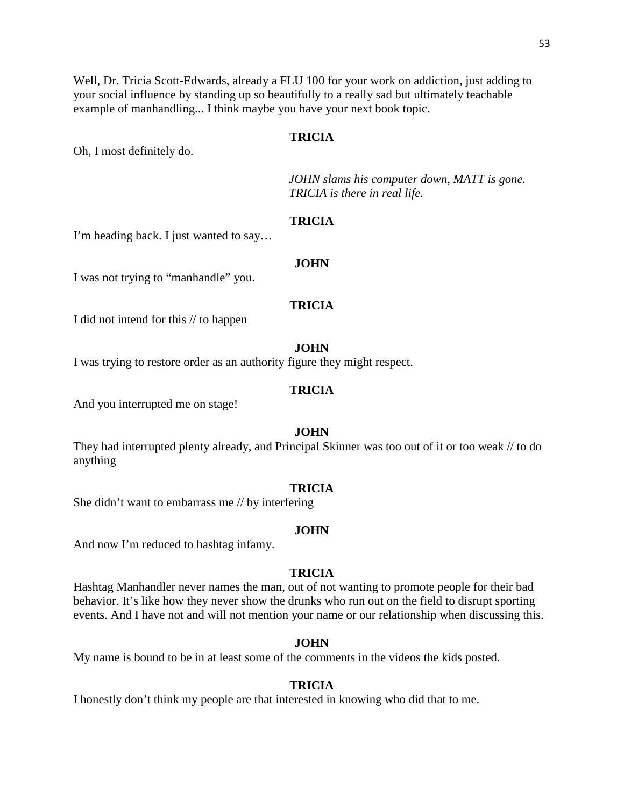Well, Dr. Tricia Scott-Edwards, already a FLU 100 for your work on addiction, just adding to your social influence by standing up so beautifully to a really sad but ultimately teachable example of manhandling... I think maybe you have your next book topic.

# **TRICIA**

Oh, I most definitely do.

*JOHN slams his computer down, MATT is gone. TRICIA is there in real life.*

# **TRICIA**

I'm heading back. I just wanted to say…

#### **JOHN**

I was not trying to "manhandle" you.

# **TRICIA**

I did not intend for this // to happen

#### **JOHN**

I was trying to restore order as an authority figure they might respect.

#### **TRICIA**

And you interrupted me on stage!

# **JOHN**

They had interrupted plenty already, and Principal Skinner was too out of it or too weak // to do anything

#### **TRICIA**

She didn't want to embarrass me // by interfering

# **JOHN**

And now I'm reduced to hashtag infamy.

#### **TRICIA**

Hashtag Manhandler never names the man, out of not wanting to promote people for their bad behavior. It's like how they never show the drunks who run out on the field to disrupt sporting events. And I have not and will not mention your name or our relationship when discussing this.

#### **JOHN**

My name is bound to be in at least some of the comments in the videos the kids posted.

#### **TRICIA**

I honestly don't think my people are that interested in knowing who did that to me.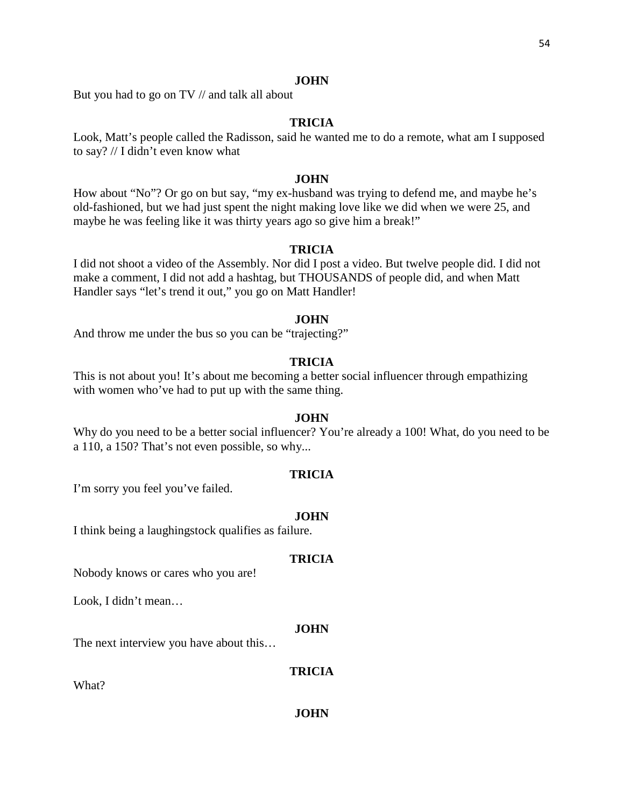But you had to go on TV // and talk all about

# **TRICIA**

Look, Matt's people called the Radisson, said he wanted me to do a remote, what am I supposed to say? // I didn't even know what

# **JOHN**

How about "No"? Or go on but say, "my ex-husband was trying to defend me, and maybe he's old-fashioned, but we had just spent the night making love like we did when we were 25, and maybe he was feeling like it was thirty years ago so give him a break!"

# **TRICIA**

I did not shoot a video of the Assembly. Nor did I post a video. But twelve people did. I did not make a comment, I did not add a hashtag, but THOUSANDS of people did, and when Matt Handler says "let's trend it out," you go on Matt Handler!

#### **JOHN**

And throw me under the bus so you can be "trajecting?"

# **TRICIA**

This is not about you! It's about me becoming a better social influencer through empathizing with women who've had to put up with the same thing.

# **JOHN**

Why do you need to be a better social influencer? You're already a 100! What, do you need to be a 110, a 150? That's not even possible, so why...

#### **TRICIA**

I'm sorry you feel you've failed.

#### **JOHN**

I think being a laughingstock qualifies as failure.

# **TRICIA**

Nobody knows or cares who you are!

Look, I didn't mean…

#### **JOHN**

The next interview you have about this…

#### **TRICIA**

What?

#### **JOHN**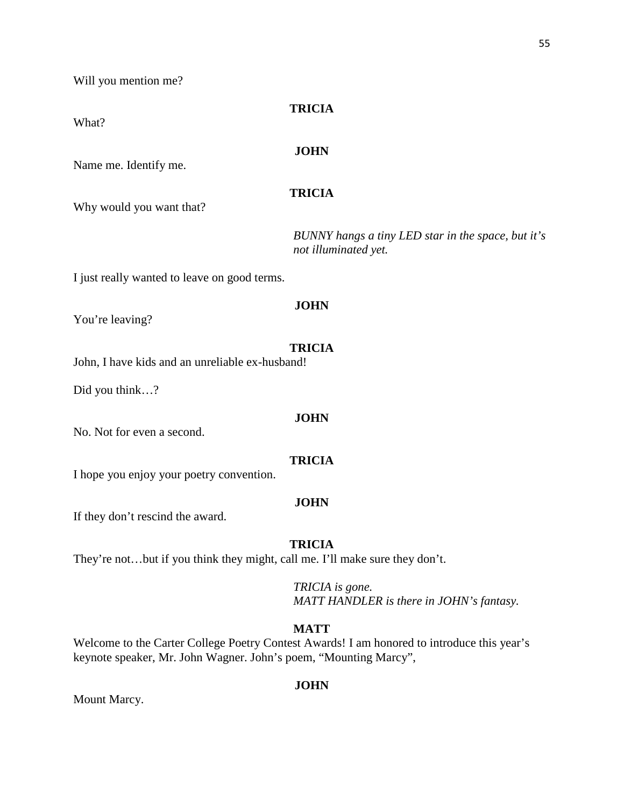Will you mention me?

# **TRICIA**

# What?

# **JOHN**

Name me. Identify me.

# **TRICIA**

Why would you want that?

*BUNNY hangs a tiny LED star in the space, but it's not illuminated yet.*

I just really wanted to leave on good terms.

# **JOHN**

You're leaving?

# **TRICIA**

John, I have kids and an unreliable ex-husband!

Did you think…?

#### **JOHN**

No. Not for even a second.

# **TRICIA**

I hope you enjoy your poetry convention.

# **JOHN**

If they don't rescind the award.

# **TRICIA**

They're not…but if you think they might, call me. I'll make sure they don't.

*TRICIA is gone. MATT HANDLER is there in JOHN's fantasy.*

# **MATT**

Welcome to the Carter College Poetry Contest Awards! I am honored to introduce this year's keynote speaker, Mr. John Wagner. John's poem, "Mounting Marcy",

# **JOHN**

Mount Marcy.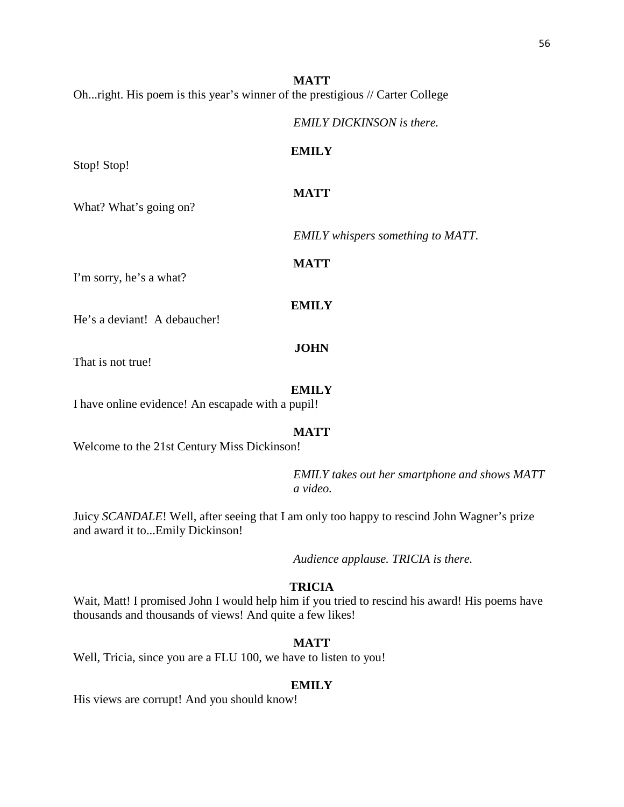**MATT** Oh...right. His poem is this year's winner of the prestigious // Carter College

*EMILY DICKINSON is there.*

# **EMILY**

**MATT**

Stop! Stop!

What? What's going on?

*EMILY whispers something to MATT.*

I'm sorry, he's a what?

# **EMILY**

**MATT**

He's a deviant! A debaucher!

# **JOHN**

That is not true!

#### **EMILY**

I have online evidence! An escapade with a pupil!

# **MATT**

Welcome to the 21st Century Miss Dickinson!

*EMILY takes out her smartphone and shows MATT a video.*

Juicy *SCANDALE*! Well, after seeing that I am only too happy to rescind John Wagner's prize and award it to...Emily Dickinson!

*Audience applause. TRICIA is there.* 

# **TRICIA**

Wait, Matt! I promised John I would help him if you tried to rescind his award! His poems have thousands and thousands of views! And quite a few likes!

#### **MATT**

Well, Tricia, since you are a FLU 100, we have to listen to you!

#### **EMILY**

His views are corrupt! And you should know!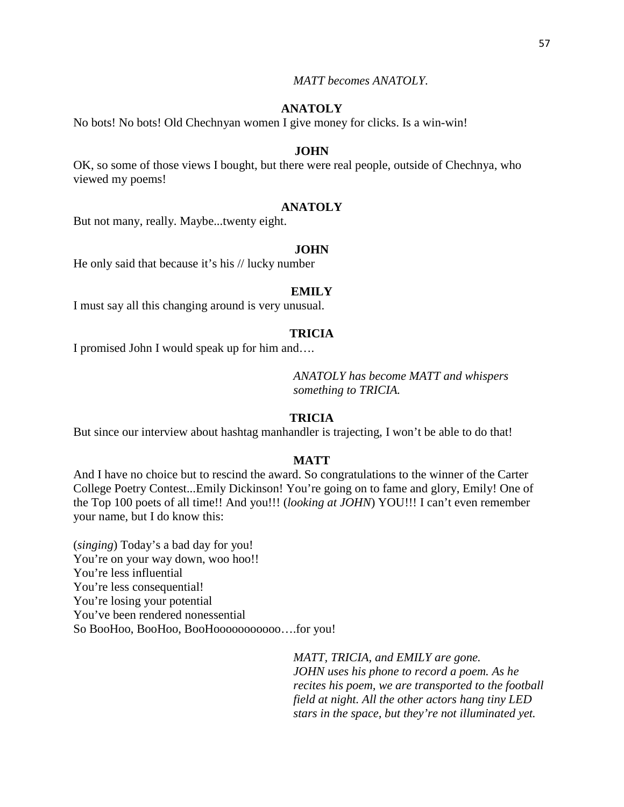*MATT becomes ANATOLY.*

# **ANATOLY**

No bots! No bots! Old Chechnyan women I give money for clicks. Is a win-win!

# **JOHN**

OK, so some of those views I bought, but there were real people, outside of Chechnya, who viewed my poems!

## **ANATOLY**

But not many, really. Maybe...twenty eight.

#### **JOHN**

He only said that because it's his // lucky number

# **EMILY**

I must say all this changing around is very unusual.

#### **TRICIA**

I promised John I would speak up for him and….

*ANATOLY has become MATT and whispers something to TRICIA.*

# **TRICIA**

But since our interview about hashtag manhandler is trajecting, I won't be able to do that!

#### **MATT**

And I have no choice but to rescind the award. So congratulations to the winner of the Carter College Poetry Contest...Emily Dickinson! You're going on to fame and glory, Emily! One of the Top 100 poets of all time!! And you!!! (*looking at JOHN*) YOU!!! I can't even remember your name, but I do know this:

(*singing*) Today's a bad day for you! You're on your way down, woo hoo!! You're less influential You're less consequential! You're losing your potential You've been rendered nonessential So BooHoo, BooHoo, BooHooooooooooo….for you!

> *MATT, TRICIA, and EMILY are gone. JOHN uses his phone to record a poem. As he recites his poem, we are transported to the football field at night. All the other actors hang tiny LED stars in the space, but they're not illuminated yet.*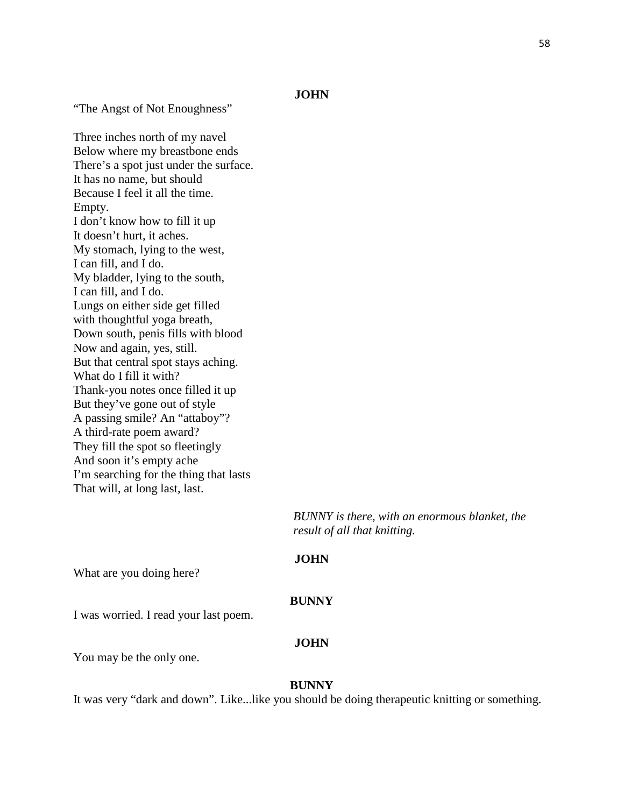"The Angst of Not Enoughness"

Three inches north of my navel Below where my breastbone ends There's a spot just under the surface. It has no name, but should Because I feel it all the time. Empty. I don't know how to fill it up It doesn't hurt, it aches. My stomach, lying to the west, I can fill, and I do. My bladder, lying to the south, I can fill, and I do. Lungs on either side get filled with thoughtful yoga breath, Down south, penis fills with blood Now and again, yes, still. But that central spot stays aching. What do I fill it with? Thank-you notes once filled it up But they've gone out of style A passing smile? An "attaboy"? A third-rate poem award? They fill the spot so fleetingly And soon it's empty ache I'm searching for the thing that lasts That will, at long last, last.

> *BUNNY is there, with an enormous blanket, the result of all that knitting.*

# **JOHN**

What are you doing here?

#### **BUNNY**

I was worried. I read your last poem.

#### **JOHN**

You may be the only one.

#### **BUNNY**

It was very "dark and down". Like...like you should be doing therapeutic knitting or something.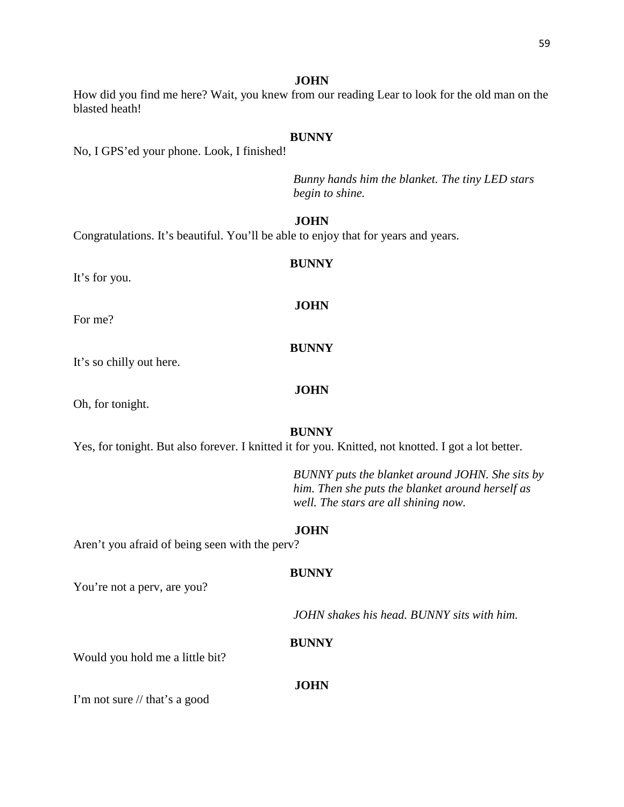How did you find me here? Wait, you knew from our reading Lear to look for the old man on the blasted heath!

#### **BUNNY**

No, I GPS'ed your phone. Look, I finished!

*Bunny hands him the blanket. The tiny LED stars begin to shine.*

# **JOHN**

Congratulations. It's beautiful. You'll be able to enjoy that for years and years.

It's for you.

For me?

It's so chilly out here.

Oh, for tonight.

# **BUNNY**

Yes, for tonight. But also forever. I knitted it for you. Knitted, not knotted. I got a lot better.

*BUNNY puts the blanket around JOHN. She sits by him. Then she puts the blanket around herself as well. The stars are all shining now.*

#### **JOHN**

Aren't you afraid of being seen with the perv?

#### **BUNNY**

You're not a perv, are you?

*JOHN shakes his head. BUNNY sits with him.*

#### **BUNNY**

Would you hold me a little bit?

# **JOHN**

I'm not sure // that's a good

# **BUNNY**

**JOHN**

**BUNNY**

# **JOHN**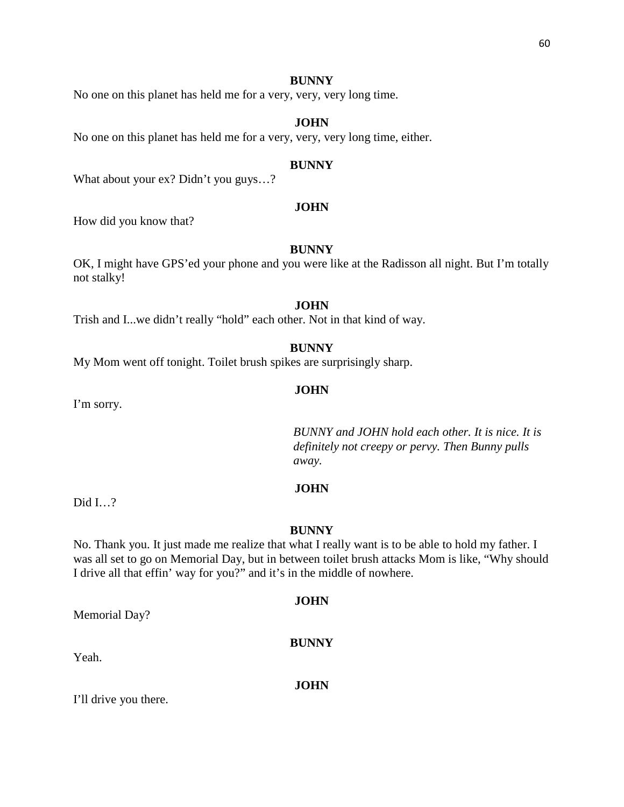No one on this planet has held me for a very, very, very long time.

# **JOHN**

No one on this planet has held me for a very, very, very long time, either.

#### **BUNNY**

What about your ex? Didn't you guys…?

## **JOHN**

How did you know that?

#### **BUNNY**

OK, I might have GPS'ed your phone and you were like at the Radisson all night. But I'm totally not stalky!

# **JOHN**

Trish and I...we didn't really "hold" each other. Not in that kind of way.

**BUNNY**

My Mom went off tonight. Toilet brush spikes are surprisingly sharp.

#### **JOHN**

I'm sorry.

*BUNNY and JOHN hold each other. It is nice. It is definitely not creepy or pervy. Then Bunny pulls away.*

# **JOHN**

Did I…?

#### **BUNNY**

No. Thank you. It just made me realize that what I really want is to be able to hold my father. I was all set to go on Memorial Day, but in between toilet brush attacks Mom is like, "Why should I drive all that effin' way for you?" and it's in the middle of nowhere.

#### **JOHN**

**BUNNY**

Memorial Day?

Yeah.

**JOHN**

I'll drive you there.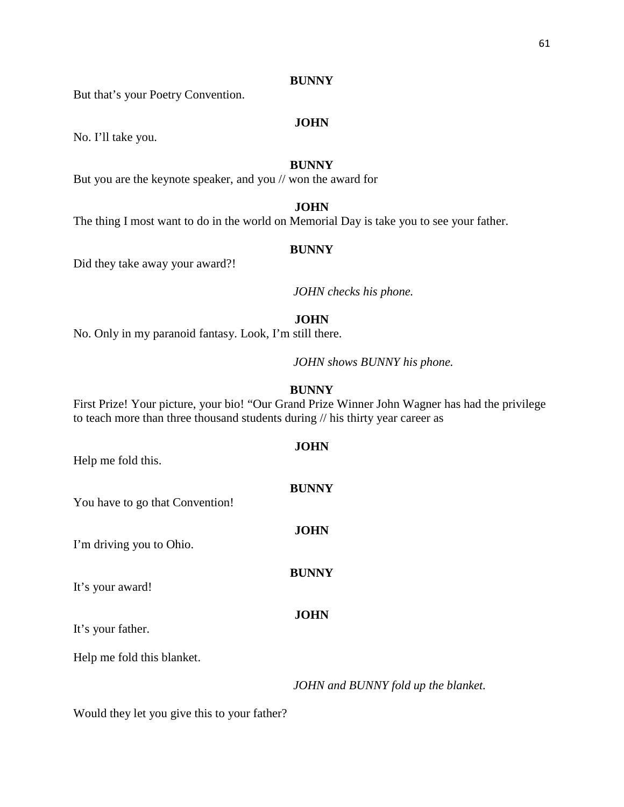But that's your Poetry Convention.

# **JOHN**

No. I'll take you.

# **BUNNY**

But you are the keynote speaker, and you // won the award for

# **JOHN**

The thing I most want to do in the world on Memorial Day is take you to see your father.

### **BUNNY**

Did they take away your award?!

*JOHN checks his phone.*

#### **JOHN**

No. Only in my paranoid fantasy. Look, I'm still there.

*JOHN shows BUNNY his phone.*

## **BUNNY**

First Prize! Your picture, your bio! "Our Grand Prize Winner John Wagner has had the privilege to teach more than three thousand students during // his thirty year career as

**BUNNY**

**JOHN**

**BUNNY**

**JOHN**

**JOHN**

Help me fold this.

You have to go that Convention!

I'm driving you to Ohio.

It's your award!

It's your father.

Help me fold this blanket.

*JOHN and BUNNY fold up the blanket.*

Would they let you give this to your father?